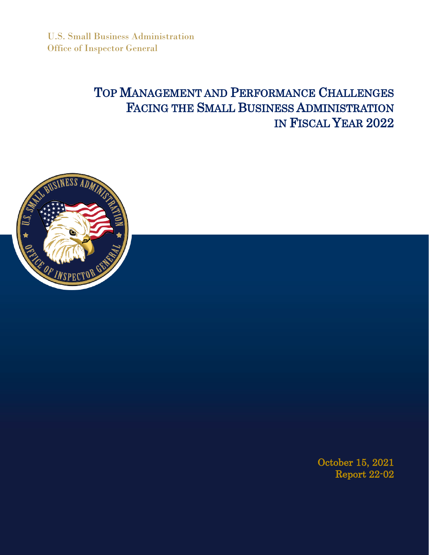U.S. Small Business Administration Office of Inspector General

# TOP MANAGEMENT AND PERFORMANCE CHALLENGES FACING THE SMALL BUSINESS ADMINISTRATION IN FISCAL YEAR 2022



October 15, 2021 Report 22-02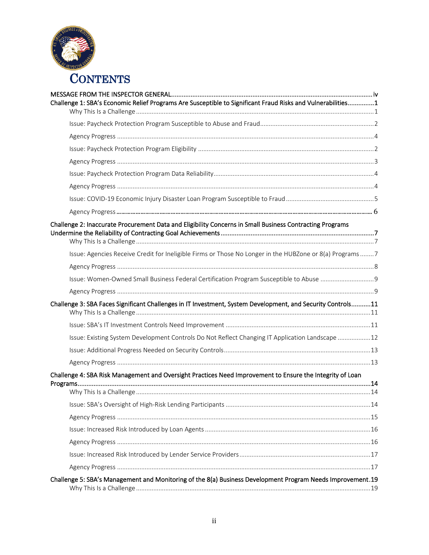

| Challenge 1: SBA's Economic Relief Programs Are Susceptible to Significant Fraud Risks and Vulnerabilities1 |  |
|-------------------------------------------------------------------------------------------------------------|--|
|                                                                                                             |  |
|                                                                                                             |  |
|                                                                                                             |  |
|                                                                                                             |  |
|                                                                                                             |  |
|                                                                                                             |  |
|                                                                                                             |  |
|                                                                                                             |  |
|                                                                                                             |  |
| Challenge 2: Inaccurate Procurement Data and Eligibility Concerns in Small Business Contracting Programs    |  |
| Issue: Agencies Receive Credit for Ineligible Firms or Those No Longer in the HUBZone or 8(a) Programs7     |  |
|                                                                                                             |  |
|                                                                                                             |  |
|                                                                                                             |  |
| Challenge 3: SBA Faces Significant Challenges in IT Investment, System Development, and Security Controls11 |  |
|                                                                                                             |  |
| Issue: Existing System Development Controls Do Not Reflect Changing IT Application Landscape 12             |  |
|                                                                                                             |  |
|                                                                                                             |  |
| Challenge 4: SBA Risk Management and Oversight Practices Need Improvement to Ensure the Integrity of Loan   |  |
|                                                                                                             |  |
|                                                                                                             |  |
|                                                                                                             |  |
|                                                                                                             |  |
|                                                                                                             |  |
|                                                                                                             |  |
|                                                                                                             |  |
|                                                                                                             |  |
| Challenge 5: SBA's Management and Monitoring of the 8(a) Business Development Program Needs Improvement.19  |  |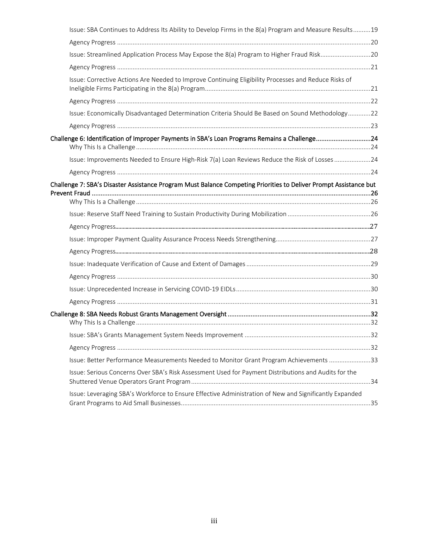| Issue: SBA Continues to Address Its Ability to Develop Firms in the 8(a) Program and Measure Results19            |  |
|-------------------------------------------------------------------------------------------------------------------|--|
|                                                                                                                   |  |
|                                                                                                                   |  |
|                                                                                                                   |  |
| Issue: Corrective Actions Are Needed to Improve Continuing Eligibility Processes and Reduce Risks of              |  |
|                                                                                                                   |  |
| Issue: Economically Disadvantaged Determination Criteria Should Be Based on Sound Methodology22                   |  |
|                                                                                                                   |  |
| Challenge 6: Identification of Improper Payments in SBA's Loan Programs Remains a Challenge24                     |  |
| Issue: Improvements Needed to Ensure High-Risk 7(a) Loan Reviews Reduce the Risk of Losses24                      |  |
|                                                                                                                   |  |
| Challenge 7: SBA's Disaster Assistance Program Must Balance Competing Priorities to Deliver Prompt Assistance but |  |
|                                                                                                                   |  |
|                                                                                                                   |  |
|                                                                                                                   |  |
|                                                                                                                   |  |
|                                                                                                                   |  |
|                                                                                                                   |  |
|                                                                                                                   |  |
|                                                                                                                   |  |
|                                                                                                                   |  |
|                                                                                                                   |  |
|                                                                                                                   |  |
|                                                                                                                   |  |
|                                                                                                                   |  |
| Issue: Better Performance Measurements Needed to Monitor Grant Program Achievements 33                            |  |
| Issue: Serious Concerns Over SBA's Risk Assessment Used for Payment Distributions and Audits for the              |  |
| Issue: Leveraging SBA's Workforce to Ensure Effective Administration of New and Significantly Expanded            |  |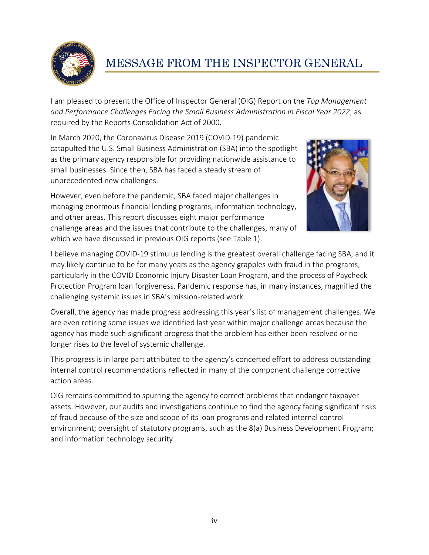

# <span id="page-3-0"></span>MESSAGE FROM THE INSPECTOR GENERAL

I am pleased to present the Office of Inspector General (OIG) Report on the *Top Management and Performance Challenges Facing the Small Business Administration in Fiscal Year 2022*, as required by the Reports Consolidation Act of 2000.

In March 2020, the Coronavirus Disease 2019 (COVID-19) pandemic catapulted the U.S. Small Business Administration (SBA) into the spotlight as the primary agency responsible for providing nationwide assistance to small businesses. Since then, SBA has faced a steady stream of unprecedented new challenges.

However, even before the pandemic, SBA faced major challenges in managing enormous financial lending programs, information technology, and other areas. This report discusses eight major performance challenge areas and the issues that contribute to the challenges, many of which we have discussed in previous OIG reports (see Table 1).



I believe managing COVID-19 stimulus lending is the greatest overall challenge facing SBA, and it may likely continue to be for many years as the agency grapples with fraud in the programs, particularly in the COVID Economic Injury Disaster Loan Program, and the process of Paycheck Protection Program loan forgiveness. Pandemic response has, in many instances, magnified the challenging systemic issues in SBA's mission-related work.

Overall, the agency has made progress addressing this year's list of management challenges. We are even retiring some issues we identified last year within major challenge areas because the agency has made such significant progress that the problem has either been resolved or no longer rises to the level of systemic challenge.

This progress is in large part attributed to the agency's concerted effort to address outstanding internal control recommendations reflected in many of the component challenge corrective action areas.

OIG remains committed to spurring the agency to correct problems that endanger taxpayer assets. However, our audits and investigations continue to find the agency facing significant risks of fraud because of the size and scope of its loan programs and related internal control environment; oversight of statutory programs, such as the 8(a) Business Development Program; and information technology security.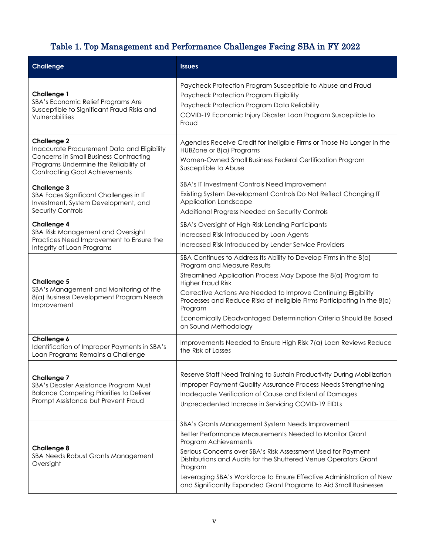# Table 1. Top Management and Performance Challenges Facing SBA in FY 2022

| <b>Challenge</b>                                                                                                                                                                                    | <b>Issues</b>                                                                                                                                                                                                                                                                                                                                                                                                                                  |  |  |
|-----------------------------------------------------------------------------------------------------------------------------------------------------------------------------------------------------|------------------------------------------------------------------------------------------------------------------------------------------------------------------------------------------------------------------------------------------------------------------------------------------------------------------------------------------------------------------------------------------------------------------------------------------------|--|--|
| Challenge 1<br>SBA's Economic Relief Programs Are<br>Susceptible to Significant Fraud Risks and<br>Vulnerabilities                                                                                  | Paycheck Protection Program Susceptible to Abuse and Fraud<br>Paycheck Protection Program Eligibility<br>Paycheck Protection Program Data Reliability<br>COVID-19 Economic Injury Disaster Loan Program Susceptible to<br>Fraud                                                                                                                                                                                                                |  |  |
| <b>Challenge 2</b><br>Inaccurate Procurement Data and Eligibility<br><b>Concerns in Small Business Contracting</b><br>Programs Undermine the Reliability of<br><b>Contracting Goal Achievements</b> | Agencies Receive Credit for Ineligible Firms or Those No Longer in the<br>HUBZone or 8(a) Programs<br>Women-Owned Small Business Federal Certification Program<br>Susceptible to Abuse                                                                                                                                                                                                                                                         |  |  |
| <b>Challenge 3</b><br>SBA Faces Significant Challenges in IT<br>Investment, System Development, and<br>Security Controls                                                                            | SBA's IT Investment Controls Need Improvement<br>Existing System Development Controls Do Not Reflect Changing IT<br>Application Landscape<br>Additional Progress Needed on Security Controls                                                                                                                                                                                                                                                   |  |  |
| <b>Challenge 4</b><br>SBA Risk Management and Oversight<br>Practices Need Improvement to Ensure the<br>Integrity of Loan Programs                                                                   | SBA's Oversight of High-Risk Lending Participants<br>Increased Risk Introduced by Loan Agents<br>Increased Risk Introduced by Lender Service Providers                                                                                                                                                                                                                                                                                         |  |  |
| <b>Challenge 5</b><br>SBA's Management and Monitoring of the<br>8(a) Business Development Program Needs<br>Improvement                                                                              | SBA Continues to Address Its Ability to Develop Firms in the 8(a)<br>Program and Measure Results<br>Streamlined Application Process May Expose the 8(a) Program to<br>Higher Fraud Risk<br>Corrective Actions Are Needed to Improve Continuing Eligibility<br>Processes and Reduce Risks of Ineligible Firms Participating in the 8(a)<br>Program<br>Economically Disadvantaged Determination Criteria Should Be Based<br>on Sound Methodology |  |  |
| Challenge 6<br>Identification of Improper Payments in SBA's<br>Loan Programs Remains a Challenge                                                                                                    | Improvements Needed to Ensure High Risk 7(a) Loan Reviews Reduce<br>the Risk of Losses                                                                                                                                                                                                                                                                                                                                                         |  |  |
| <b>Challenge 7</b><br>SBA's Disaster Assistance Program Must<br><b>Balance Competing Priorities to Deliver</b><br>Prompt Assistance but Prevent Fraud                                               | Reserve Staff Need Training to Sustain Productivity During Mobilization<br>Improper Payment Quality Assurance Process Needs Strengthening<br>Inadequate Verification of Cause and Extent of Damages<br>Unprecedented Increase in Servicing COVID-19 EIDLs                                                                                                                                                                                      |  |  |
| <b>Challenge 8</b><br>SBA Needs Robust Grants Management<br>Oversight                                                                                                                               | SBA's Grants Management System Needs Improvement<br>Better Performance Measurements Needed to Monitor Grant<br>Program Achievements<br>Serious Concerns over SBA's Risk Assessment Used for Payment<br>Distributions and Audits for the Shuttered Venue Operators Grant<br>Program<br>Leveraging SBA's Workforce to Ensure Effective Administration of New<br>and Significantly Expanded Grant Programs to Aid Small Businesses                |  |  |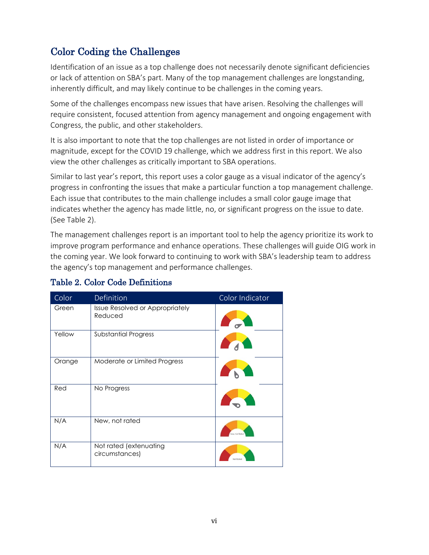# Color Coding the Challenges

Identification of an issue as a top challenge does not necessarily denote significant deficiencies or lack of attention on SBA's part. Many of the top management challenges are longstanding, inherently difficult, and may likely continue to be challenges in the coming years.

Some of the challenges encompass new issues that have arisen. Resolving the challenges will require consistent, focused attention from agency management and ongoing engagement with Congress, the public, and other stakeholders.

It is also important to note that the top challenges are not listed in order of importance or magnitude, except for the COVID 19 challenge, which we address first in this report. We also view the other challenges as critically important to SBA operations.

Similar to last year's report, this report uses a color gauge as a visual indicator of the agency's progress in confronting the issues that make a particular function a top management challenge. Each issue that contributes to the main challenge includes a small color gauge image that indicates whether the agency has made little, no, or significant progress on the issue to date. (See Table 2).

The management challenges report is an important tool to help the agency prioritize its work to improve program performance and enhance operations. These challenges will guide OIG work in the coming year. We look forward to continuing to work with SBA's leadership team to address the agency's top management and performance challenges.

| Color  | Definition                                 | Color Indicator |
|--------|--------------------------------------------|-----------------|
| Green  | Issue Resolved or Appropriately<br>Reduced |                 |
| Yellow | <b>Substantial Progress</b>                |                 |
| Orange | Moderate or Limited Progress               |                 |
| Red    | No Progress                                |                 |
| N/A    | New, not rated                             | Naw, Not Rates  |
| N/A    | Not rated (extenuating<br>circumstances)   |                 |

### Table 2. Color Code Definitions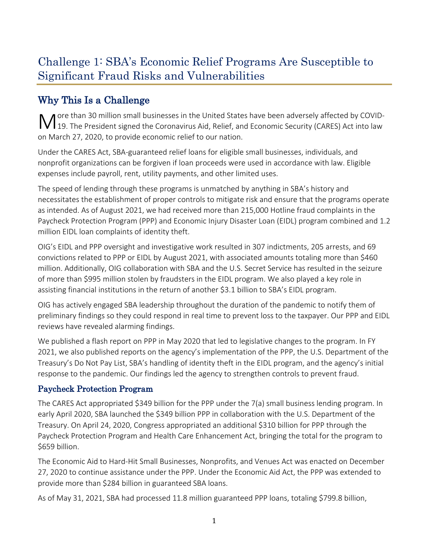# <span id="page-6-0"></span>Challenge 1: SBA's Economic Relief Programs Are Susceptible to Significant Fraud Risks and Vulnerabilities

# <span id="page-6-1"></span>Why This Is a Challenge

**M** ore than 30 million small businesses in the United States have been adversely affected by COVID-<br>
19. The President signed the Coronavirus Aid, Relief, and Economic Security (CARES) Act into law 19. The President signed the Coronavirus Aid, Relief, and Economic Security (CARES) Act into law on March 27, 2020, to provide economic relief to our nation.

Under the CAR ES Act, SBA-guaranteed relief loans for eligible small businesses, individuals, and nonprofit organizations can be forgiven if loan proceeds were used in accordance with law. Eligible expenses include payroll, rent, utility payments, and other limited uses.

The speed of lending through these programs is unmatched by anything in SBA's history and necessitates the establishment of proper controls to mitigate risk and ensure that the programs operate as intended. As of August 2021, we had received more than 215,000 Hotline fraud complaints in the Paycheck Protection Program (PPP) and Economic Injury Disaster Loan (EIDL) program combined and 1.2 million EIDL loan complaints of identity theft.

OIG's EIDL and PPP oversight and investigative work resulted in 307 indictments, 205 arrests, and 69 convictions related to PPP or EIDL by August 2021, with associated amounts totaling more than \$460 million. Additionally, OIG collaboration with SBA and the U.S. Secret Service has resulted in the seizure of more than \$995 million stolen by fraudsters in the EIDL program. We also played a key role in assisting financial institutions in the return of another \$3.1 billion to SBA's EIDL program.

OIG has actively engaged SBA leadership throughout the duration of the pandemic to notify them of preliminary findings so they could respond in real time to prevent loss to the taxpayer. Our PPP and EIDL reviews have revealed alarming findings.

We published a flash report on PPP in May 2020 that led to legislative changes to the program. In FY 2021, we also published reports on the agency's implementation of the PPP, the U.S. Department of the Treasury's Do Not Pay List, SBA's handling of identity theft in the EIDL program, and the agency's initial response to the pandemic. Our findings led the agency to strengthen controls to prevent fraud.

### Paycheck Protection Program

The CARES Act appropriated \$349 billion for the PPP under the 7(a) small business lending program. In early April 2020, SBA launched the \$349 billion PPP in collaboration with the U.S. Department of the Treasury. On April 24, 2020, Congress appropriated an additional \$310 billion for PPP through the Paycheck Protection Program and Health Care Enhancement Act, bringing the total for the program to \$659 billion.

The Economic Aid to Hard-Hit Small Businesses, Nonprofits, and Venues Act was enacted on December 27, 2020 to continue assistance under the PPP. Under the Economic Aid Act, the PPP was extended to provide more than \$284 billion in guaranteed SBA loans.

As of May 31, 2021, SBA had processed 11.8 million guaranteed PPP loans, totaling \$799.8 billion,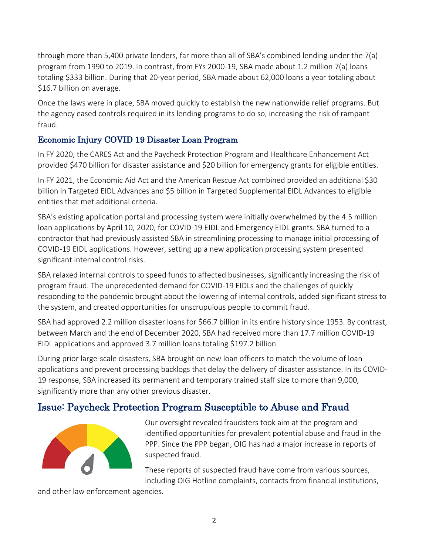through more than 5,400 private lenders, far more than all of SBA's combined lending under the 7(a) program from 1990 to 2019. In contrast, from FYs 2000-19, SBA made about 1.2 million 7(a) loans totaling \$333 billion. During that 20-year period, SBA made about 62,000 loans a year totaling about \$16.7 billion on average.

Once the laws were in place, SBA moved quickly to establish the new nationwide relief programs. But the agency eased controls required in its lending programs to do so, increasing the risk of rampant fraud.

### Economic Injury COVID 19 Disaster Loan Program

In FY 2020, the CARES Act and the Paycheck Protection Program and Healthcare Enhancement Act provided \$470 billion for disaster assistance and \$20 billion for emergency grants for eligible entities.

In FY 2021, the Economic Aid Act and the American Rescue Act combined provided an additional \$30 billion in Targeted EIDL Advances and \$5 billion in Targeted Supplemental EIDL Advances to eligible entities that met additional criteria.

SBA's existing application portal and processing system were initially overwhelmed by the 4.5 million loan applications by April 10, 2020, for COVID-19 EIDL and Emergency EIDL grants. SBA turned to a contractor that had previously assisted SBA in streamlining processing to manage initial processing of COVID-19 EIDL applications. However, setting up a new application processing system presented significant internal control risks.

SBA relaxed internal controls to speed funds to affected businesses, significantly increasing the risk of program fraud. The unprecedented demand for COVID-19 EIDLs and the challenges of quickly responding to the pandemic brought about the lowering of internal controls, added significant stress to the system, and created opportunities for unscrupulous people to commit fraud.

SBA had approved 2.2 million disaster loans for \$66.7 billion in its entire history since 1953. By contrast, between March and the end of December 2020, SBA had received more than 17.7 million COVID-19 EIDL applications and approved 3.7 million loans totaling \$197.2 billion.

During prior large-scale disasters, SBA brought on new loan officers to match the volume of loan applications and prevent processing backlogs that delay the delivery of disaster assistance. In its COVID-19 response, SBA increased its permanent and temporary trained staff size to more than 9,000, significantly more than any other previous disaster.

# <span id="page-7-0"></span>Issue: Paycheck Protection Program Susceptible to Abuse and Fraud



Our oversight revealed fraudsters took aim at the program and identified opportunities for prevalent potential abuse and fraud in the PPP. Since the PPP began, OIG has had a major increase in reports of suspected fraud.

These reports of suspected fraud have come from various sources, including OIG Hotline complaints, contacts from financial institutions,

and other law enforcement agencies.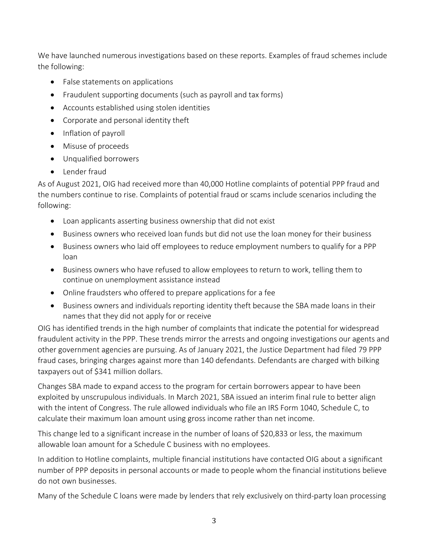We have launched numerous investigations based on these reports. Examples of fraud schemes include the following:

- False statements on applications
- Fraudulent supporting documents (such as payroll and tax forms)
- Accounts established using stolen identities
- Corporate and personal identity theft
- Inflation of payroll
- Misuse of proceeds
- Unqualified borrowers
- Lender fraud

As of August 2021, OIG had received more than 40,000 Hotline complaints of potential PPP fraud and the numbers continue to rise. Complaints of potential fraud or scams include scenarios including the following:

- Loan applicants asserting business ownership that did not exist
- Business owners who received loan funds but did not use the loan money for their business
- Business owners who laid off employees to reduce employment numbers to qualify for a PPP loan
- Business owners who have refused to allow employees to return to work, telling them to continue on unemployment assistance instead
- Online fraudsters who offered to prepare applications for a fee
- Business owners and individuals reporting identity theft because the SBA made loans in their names that they did not apply for or receive

OIG has identified trends in the high number of complaints that indicate the potential for widespread fraudulent activity in the PPP. These trends mirror the arrests and ongoing investigations our agents and other government agencies are pursuing. As of January 2021, the Justice Department had filed 79 PPP fraud cases, bringing charges against more than 140 defendants. Defendants are charged with bilking taxpayers out of \$341 million dollars.

Changes SBA made to expand access to the program for certain borrowers appear to have been exploited by unscrupulous individuals. In March 2021, SBA issued an interim final rule to better align with the intent of Congress. The rule allowed individuals who file an IRS Form 1040, Schedule C, to calculate their maximum loan amount using gross income rather than net income.

This change led to a significant increase in the number of loans of \$20,833 or less, the maximum allowable loan amount for a Schedule C business with no employees.

In addition to Hotline complaints, multiple financial institutions have contacted OIG about a significant number of PPP deposits in personal accounts or made to people whom the financial institutions believe do not own businesses.

Many of the Schedule C loans were made by lenders that rely exclusively on third-party loan processing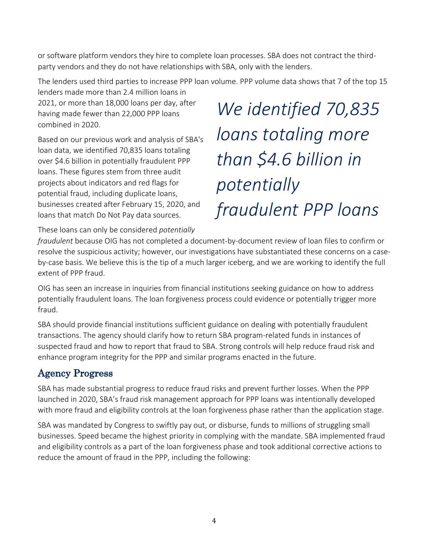or software platform vendors they hire to complete loan processes. SBA does not contract the thirdparty vendors and they do not have relationships with SBA, only with the lenders.

The lenders used third parties to increase PPP loan volume. PPP volume data shows that 7 of the top 15

lenders made more than 2.4 million loans in 2021, or more than 18,000 loans per day, after having made fewer than 22,000 PPP loans combined in 2020.

Based on our previous work and analysis of SBA's loan data, we identified 70,835 loans totaling over \$4.6 billion in potentially fraudulent PPP loans. These figures stem from three audit projects about indicators and red flags for potential fraud, including duplicate loans, businesses created after February 15, 2020, and loans that match Do Not Pay data sources.

*We identified 70,835 loans totaling more than \$4.6 billion in potentially fraudulent PPP loans*

These loans can only be considered *potentially* 

*fraudulent* because OIG has not completed a document-by-document review of loan files to confirm or resolve the suspicious activity; however, our investigations have substantiated these concerns on a caseby-case basis. We believe this is the tip of a much larger iceberg, and we are working to identify the full extent of PPP fraud.

OIG has seen an increase in inquiries from financial institutions seeking guidance on how to address potentially fraudulent loans. The loan forgiveness process could evidence or potentially trigger more fraud.

SBA should provide financial institutions sufficient guidance on dealing with potentially fraudulent transactions. The agency should clarify how to return SBA program-related funds in instances of suspected fraud and how to report that fraud to SBA. Strong controls will help reduce fraud risk and enhance program integrity for the PPP and similar programs enacted in the future.

# <span id="page-9-0"></span>Agency Progress

SBA has made substantial progress to reduce fraud risks and prevent further losses. When the PPP launched in 2020, SBA's fraud risk management approach for PPP loans was intentionally developed with more fraud and eligibility controls at the loan forgiveness phase rather than the application stage.

SBA was mandated by Congress to swiftly pay out, or disburse, funds to millions of struggling small businesses. Speed became the highest priority in complying with the mandate. SBA implemented fraud and eligibility controls as a part of the loan forgiveness phase and took additional corrective actions to reduce the amount of fraud in the PPP, including the following: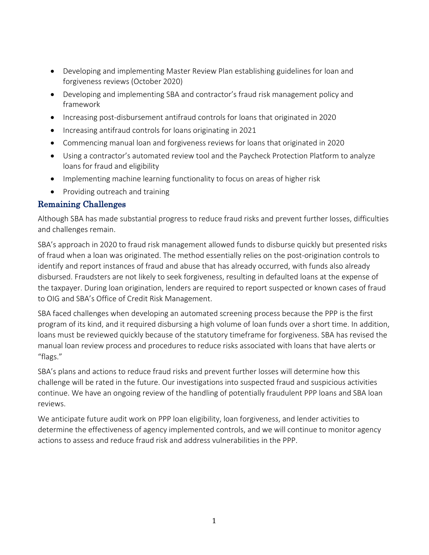- Developing and implementing Master Review Plan establishing guidelines for loan and forgiveness reviews (October 2020)
- Developing and implementing SBA and contractor's fraud risk management policy and framework
- Increasing post-disbursement antifraud controls for loans that originated in 2020
- Increasing antifraud controls for loans originating in 2021
- Commencing manual loan and forgiveness reviews for loans that originated in 2020
- Using a contractor's automated review tool and the Paycheck Protection Platform to analyze loans for fraud and eligibility
- Implementing machine learning functionality to focus on areas of higher risk
- Providing outreach and training

#### Remaining Challenges

Although SBA has made substantial progress to reduce fraud risks and prevent further losses, difficulties and challenges remain.

SBA's approach in 2020 to fraud risk management allowed funds to disburse quickly but presented risks of fraud when a loan was originated. The method essentially relies on the post-origination controls to identify and report instances of fraud and abuse that has already occurred, with funds also already disbursed. Fraudsters are not likely to seek forgiveness, resulting in defaulted loans at the expense of the taxpayer. During loan origination, lenders are required to report suspected or known cases of fraud to OIG and SBA's Office of Credit Risk Management.

SBA faced challenges when developing an automated screening process because the PPP is the first program of its kind, and it required disbursing a high volume of loan funds over a short time. In addition, loans must be reviewed quickly because of the statutory timeframe for forgiveness. SBA has revised the manual loan review process and procedures to reduce risks associated with loans that have alerts or "flags."

SBA's plans and actions to reduce fraud risks and prevent further losses will determine how this challenge will be rated in the future. Our investigations into suspected fraud and suspicious activities continue. We have an ongoing review of the handling of potentially fraudulent PPP loans and SBA loan reviews.

We anticipate future audit work on PPP loan eligibility, loan forgiveness, and lender activities to determine the effectiveness of agency implemented controls, and we will continue to monitor agency actions to assess and reduce fraud risk and address vulnerabilities in the PPP.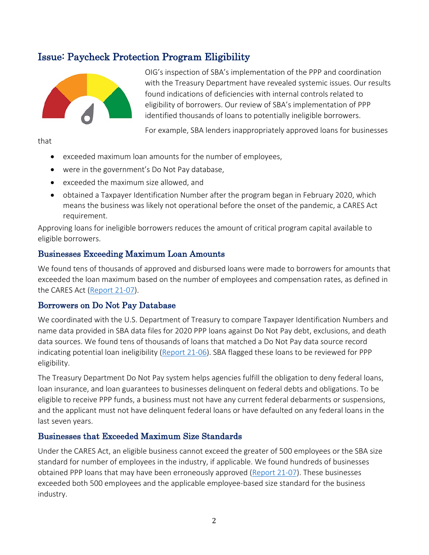### <span id="page-11-0"></span>Issue: Paycheck Protection Program Eligibility



OIG's inspection of SBA's implementation of the PPP and coordination with the Treasury Department have revealed systemic issues. Our results found indications of deficiencies with internal controls related to eligibility of borrowers. Our review of SBA's implementation of PPP identified thousands of loans to potentially ineligible borrowers.

For example, SBA lenders inappropriately approved loans for businesses

that

- exceeded maximum loan amounts for the number of employees,
- were in the government's Do Not Pay database,
- exceeded the maximum size allowed, and
- obtained a Taxpayer Identification Number after the program began in February 2020, which means the business was likely not operational before the onset of the pandemic, a CARES Act requirement.

Approving loans for ineligible borrowers reduces the amount of critical program capital available to eligible borrowers.

#### Businesses Exceeding Maximum Loan Amounts

We found tens of thousands of approved and disbursed loans were made to borrowers for amounts that exceeded the loan maximum based on the number of employees and compensation rates, as defined in the CARES Act [\(Report 21-07\)](https://www.sba.gov/document/report-21-07-inspection-sbas-implementation-paycheck-protection-program).

#### Borrowers on Do Not Pay Database

We coordinated with the U.S. Department of Treasury to compare Taxpayer Identification Numbers and name data provided in SBA data files for 2020 PPP loans against Do Not Pay debt, exclusions, and death data sources. We found tens of thousands of loans that matched a Do Not Pay data source record indicating potential loan ineligibility [\(Report 21-06\)](https://www.sba.gov/document/report-21-06-management-alert-paycheck-protection-program-loan-recipients-department-treasurys-do-not-pay-list). SBA flagged these loans to be reviewed for PPP eligibility.

The Treasury Department Do Not Pay system helps agencies fulfill the obligation to deny federal loans, loan insurance, and loan guarantees to businesses delinquent on federal debts and obligations. To be eligible to receive PPP funds, a business must not have any current federal debarments or suspensions, and the applicant must not have delinquent federal loans or have defaulted on any federal loans in the last seven years.

#### Businesses that Exceeded Maximum Size Standards

Under the CARES Act, an eligible business cannot exceed the greater of 500 employees or the SBA size standard for number of employees in the industry, if applicable. We found hundreds of businesses obtained PPP loans that may have been erroneously approved [\(Report 21-07\)](https://www.sba.gov/document/report-21-07-inspection-sbas-implementation-paycheck-protection-program). These businesses exceeded both 500 employees and the applicable employee-based size standard for the business industry.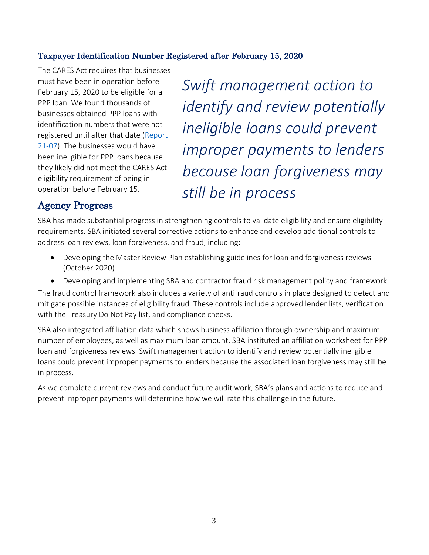#### Taxpayer Identification Number Registered after February 15, 2020

The CARES Act requires that businesses must have been in operation before February 15, 2020 to be eligible for a PPP loan. We found thousands of businesses obtained PPP loans with identification numbers that were not registered until after that date [\(Report](https://www.sba.gov/document/report-21-07-inspection-sbas-implementation-paycheck-protection-program)  [21-07\)](https://www.sba.gov/document/report-21-07-inspection-sbas-implementation-paycheck-protection-program). The businesses would have been ineligible for PPP loans because they likely did not meet the CARES Act eligibility requirement of being in operation before February 15.

*Swift management action to identify and review potentially ineligible loans could prevent improper payments to lenders because loan forgiveness may still be in process*

## <span id="page-12-0"></span>Agency Progress

SBA has made substantial progress in strengthening controls to validate eligibility and ensure eligibility requirements. SBA initiated several corrective actions to enhance and develop additional controls to address loan reviews, loan forgiveness, and fraud, including:

- Developing the Master Review Plan establishing guidelines for loan and forgiveness reviews (October 2020)
- Developing and implementing SBA and contractor fraud risk management policy and framework

The fraud control framework also includes a variety of antifraud controls in place designed to detect and mitigate possible instances of eligibility fraud. These controls include approved lender lists, verification with the Treasury Do Not Pay list, and compliance checks.

SBA also integrated affiliation data which shows business affiliation through ownership and maximum number of employees, as well as maximum loan amount. SBA instituted an affiliation worksheet for PPP loan and forgiveness reviews. Swift management action to identify and review potentially ineligible loans could prevent improper payments to lenders because the associated loan forgiveness may still be in process.

<span id="page-12-1"></span>As we complete current reviews and conduct future audit work, SBA's plans and actions to reduce and prevent improper payments will determine how we will rate this challenge in the future.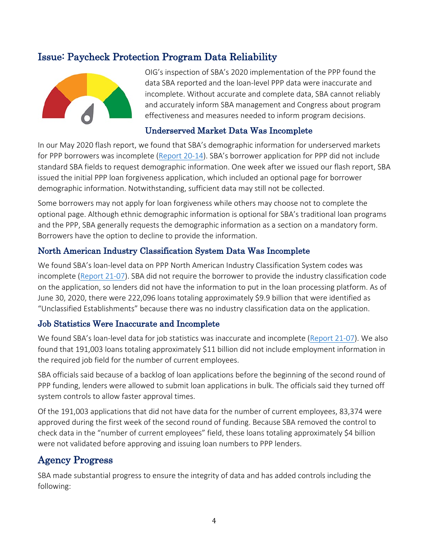## Issue: Paycheck Protection Program Data Reliability



OIG's inspection of SBA's 2020 implementation of the PPP found the data SBA reported and the loan-level PPP data were inaccurate and incomplete. Without accurate and complete data, SBA cannot reliably and accurately inform SBA management and Congress about program effectiveness and measures needed to inform program decisions.

#### Underserved Market Data Was Incomplete

In our May 2020 flash report, we found that SBA's demographic information for underserved markets for PPP borrowers was incomplete [\(Report 20-14\)](https://www.sba.gov/document/report-20-14-flash-report-small-business-administrations-implementation-paycheck-protection-program-requirements). SBA's borrower application for PPP did not include standard SBA fields to request demographic information. One week after we issued our flash report, SBA issued the initial PPP loan forgiveness application, which included an optional page for borrower demographic information. Notwithstanding, sufficient data may still not be collected.

Some borrowers may not apply for loan forgiveness while others may choose not to complete the optional page. Although ethnic demographic information is optional for SBA's traditional loan programs and the PPP, SBA generally requests the demographic information as a section on a mandatory form. Borrowers have the option to decline to provide the information.

#### North American Industry Classification System Data Was Incomplete

We found SBA's loan-level data on PPP North American Industry Classification System codes was incomplete [\(Report 21-07\)](https://www.sba.gov/document/report-21-07-inspection-sbas-implementation-paycheck-protection-program). SBA did not require the borrower to provide the industry classification code on the application, so lenders did not have the information to put in the loan processing platform. As of June 30, 2020, there were 222,096 loans totaling approximately \$9.9 billion that were identified as "Unclassified Establishments" because there was no industry classification data on the application.

#### Job Statistics Were Inaccurate and Incomplete

We found SBA's loan-level data for job statistics was inaccurate and incomplete [\(Report 21-07\)](https://www.sba.gov/document/report-21-07-inspection-sbas-implementation-paycheck-protection-program). We also found that 191,003 loans totaling approximately \$11 billion did not include employment information in the required job field for the number of current employees.

SBA officials said because of a backlog of loan applications before the beginning of the second round of PPP funding, lenders were allowed to submit loan applications in bulk. The officials said they turned off system controls to allow faster approval times.

Of the 191,003 applications that did not have data for the number of current employees, 83,374 were approved during the first week of the second round of funding. Because SBA removed the control to check data in the "number of current employees" field, these loans totaling approximately \$4 billion were not validated before approving and issuing loan numbers to PPP lenders.

#### <span id="page-13-0"></span>Agency Progress

SBA made substantial progress to ensure the integrity of data and has added controls including the following: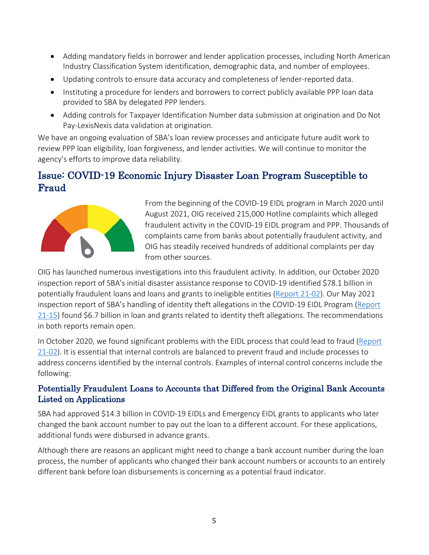- Adding mandatory fields in borrower and lender application processes, including North American Industry Classification System identification, demographic data, and number of employees.
- Updating controls to ensure data accuracy and completeness of lender-reported data.
- Instituting a procedure for lenders and borrowers to correct publicly available PPP loan data provided to SBA by delegated PPP lenders.
- Adding controls for Taxpayer Identification Number data submission at origination and Do Not Pay-LexisNexis data validation at origination.

We have an ongoing evaluation of SBA's loan review processes and anticipate future audit work to review PPP loan eligibility, loan forgiveness, and lender activities. We will continue to monitor the agency's efforts to improve data reliability.

# <span id="page-14-0"></span>Issue: COVID-19 Economic Injury Disaster Loan Program Susceptible to Fraud



From the beginning of the COVID-19 EIDL program in March 2020 until August 2021, OIG received 215,000 Hotline complaints which alleged fraudulent activity in the COVID-19 EIDL program and PPP. Thousands of complaints came from banks about potentially fraudulent activity, and OIG has steadily received hundreds of additional complaints per day from other sources.

OIG has launched numerous investigations into this fraudulent activity. In addition, our October 2020 inspection report of SBA's initial disaster assistance response to COVID-19 identified \$78.1 billion in potentially fraudulent loans and loans and grants to ineligible entities [\(Report 21-02\)](https://www.sba.gov/document/report-21-02-inspection-small-business-administrations-initial-disaster-assistance-response-coronavirus-pandemic). Our May 2021 inspection report of SBA's handling of identity theft allegations in the COVID-19 EIDL Program [\(Report](https://www.sba.gov/document/report-21-15-sbas-handling-identity-theft-covid-19-economic-injury-disaster-loan-program)  [21-15\)](https://www.sba.gov/document/report-21-15-sbas-handling-identity-theft-covid-19-economic-injury-disaster-loan-program) found \$6.7 billion in loan and grants related to identity theft allegations. The recommendations in both reports remain open.

In October 2020, we found significant problems with the EIDL process that could lead to fraud [\(Report](https://www.sba.gov/document/report-21-02-inspection-small-business-administrations-initial-disaster-assistance-response-coronavirus-pandemic)  [21-02\)](https://www.sba.gov/document/report-21-02-inspection-small-business-administrations-initial-disaster-assistance-response-coronavirus-pandemic). It is essential that internal controls are balanced to prevent fraud and include processes to address concerns identified by the internal controls. Examples of internal control concerns include the following:

#### Potentially Fraudulent Loans to Accounts that Differed from the Original Bank Accounts Listed on Applications

SBA had approved \$14.3 billion in COVID-19 EIDLs and Emergency EIDL grants to applicants who later changed the bank account number to pay out the loan to a different account. For these applications, additional funds were disbursed in advance grants.

Although there are reasons an applicant might need to change a bank account number during the loan process, the number of applicants who changed their bank account numbers or accounts to an entirely different bank before loan disbursements is concerning as a potential fraud indicator.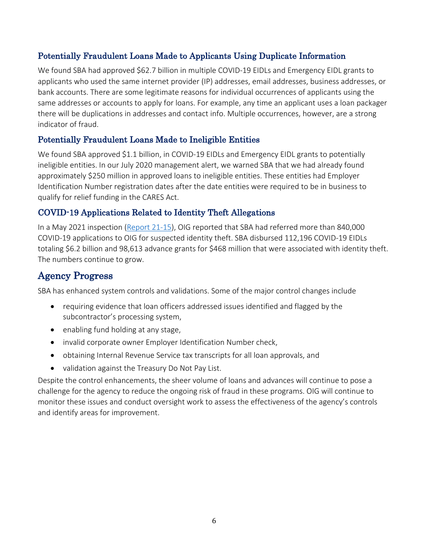#### Potentially Fraudulent Loans Made to Applicants Using Duplicate Information

We found SBA had approved \$62.7 billion in multiple COVID-19 EIDLs and Emergency EIDL grants to applicants who used the same internet provider (IP) addresses, email addresses, business addresses, or bank accounts. There are some legitimate reasons for individual occurrences of applicants using the same addresses or accounts to apply for loans. For example, any time an applicant uses a loan packager there will be duplications in addresses and contact info. Multiple occurrences, however, are a strong indicator of fraud.

#### Potentially Fraudulent Loans Made to Ineligible Entities

We found SBA approved \$1.1 billion, in COVID-19 EIDLs and Emergency EIDL grants to potentially ineligible entities. In our July 2020 management alert, we warned SBA that we had already found approximately \$250 million in approved loans to ineligible entities. These entities had Employer Identification Number registration dates after the date entities were required to be in business to qualify for relief funding in the CARES Act.

#### COVID-19 Applications Related to Identity Theft Allegations

In a May 2021 inspection [\(Report 21-15\)](https://www.sba.gov/document/report-21-15-sbas-handling-identity-theft-covid-19-economic-injury-disaster-loan-program), OIG reported that SBA had referred more than 840,000 COVID-19 applications to OIG for suspected identity theft. SBA disbursed 112,196 COVID-19 EIDLs totaling \$6.2 billion and 98,613 advance grants for \$468 million that were associated with identity theft. The numbers continue to grow.

### <span id="page-15-0"></span>Agency Progress

SBA has enhanced system controls and validations. Some of the major control changes include

- requiring evidence that loan officers addressed issues identified and flagged by the subcontractor's processing system,
- enabling fund holding at any stage,
- invalid corporate owner Employer Identification Number check,
- obtaining Internal Revenue Service tax transcripts for all loan approvals, and
- validation against the Treasury Do Not Pay List.

<span id="page-15-1"></span>Despite the control enhancements, the sheer volume of loans and advances will continue to pose a challenge for the agency to reduce the ongoing risk of fraud in these programs. OIG will continue to monitor these issues and conduct oversight work to assess the effectiveness of the agency's controls and identify areas for improvement.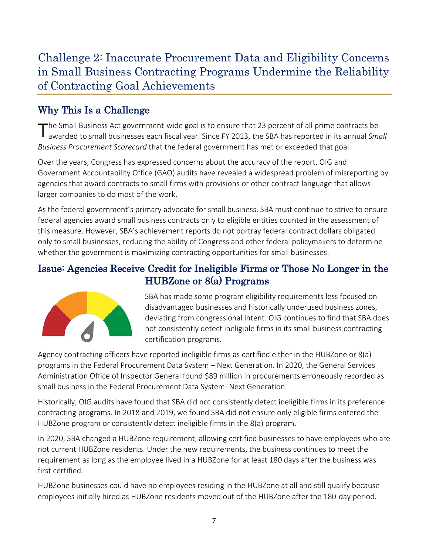# Challenge 2: Inaccurate Procurement Data and Eligibility Concerns in Small Business Contracting Programs Undermine the Reliability of Contracting Goal Achievements

# <span id="page-16-0"></span>Why This Is a Challenge

The Small Business Act government-wide goal is to ensure that 23 percent of all prime contracts be awarded to small businesses each fiscal year. Since FY 2013, the SBA has reported in its annual *Small Business Procurement Scorecard* that the federal government has met or exceeded that goal.

Over the years, Congress has expressed concerns about the accuracy of the report. OIG and Government Accountability Office (GAO) audits have revealed a widespread problem of misreporting by agencies that award contracts to small firms with provisions or other contract language that allows larger companies to do most of the work.

As the federal government's primary advocate for small business, SBA must continue to strive to ensure federal agencies award small business contracts only to eligible entities counted in the assessment of this measure. However, SBA's achievement reports do not portray federal contract dollars obligated only to small businesses, reducing the ability of Congress and other federal policymakers to determine whether the government is maximizing contracting opportunities for small businesses.

## <span id="page-16-1"></span>Issue: Agencies Receive Credit for Ineligible Firms or Those No Longer in the HUBZone or 8(a) Programs



SBA has made some program eligibility requirements less focused on disadvantaged businesses and historically underused business zones, deviating from congressional intent. OIG continues to find that SBA does not consistently detect ineligible firms in its small business contracting certification programs.

Agency contracting officers have reported ineligible firms as certified either in the HUBZone or 8(a) programs in the Federal Procurement Data System – Next Generation. In 2020, the General Services Administration Office of Inspector General found \$89 million in procurements erroneously recorded as small business in the Federal Procurement Data System–Next Generation.

Historically, OIG audits have found that SBA did not consistently detect ineligible firms in its preference contracting programs. In 2018 and 2019, we found SBA did not ensure only eligible firms entered the HUBZone program or consistently detect ineligible firms in the 8(a) program.

In 2020, SBA changed a HUBZone requirement, allowing certified businesses to have employees who are not current HUBZone residents. Under the new requirements, the business continues to meet the requirement as long as the employee lived in a HUBZone for at least 180 days after the business was first certified.

HUBZone businesses could have no employees residing in the HUBZone at all and still qualify because employees initially hired as HUBZone residents moved out of the HUBZone after the 180-day period.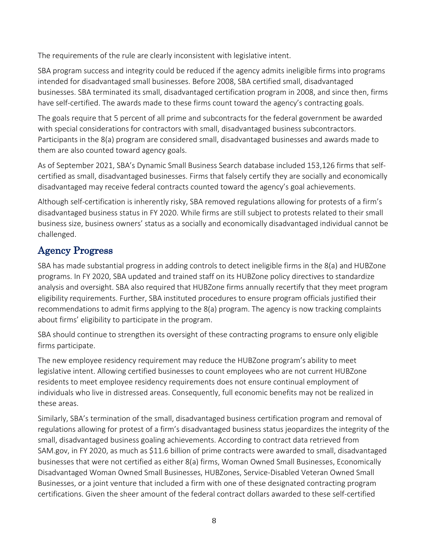The requirements of the rule are clearly inconsistent with legislative intent.

SBA program success and integrity could be reduced if the agency admits ineligible firms into programs intended for disadvantaged small businesses. Before 2008, SBA certified small, disadvantaged businesses. SBA terminated its small, disadvantaged certification program in 2008, and since then, firms have self-certified. The awards made to these firms count toward the agency's contracting goals.

The goals require that 5 percent of all prime and subcontracts for the federal government be awarded with special considerations for contractors with small, disadvantaged business subcontractors. Participants in the 8(a) program are considered small, disadvantaged businesses and awards made to them are also counted toward agency goals.

As of September 2021, SBA's Dynamic Small Business Search database included 153,126 firms that selfcertified as small, disadvantaged businesses. Firms that falsely certify they are socially and economically disadvantaged may receive federal contracts counted toward the agency's goal achievements.

Although self-certification is inherently risky, SBA removed regulations allowing for protests of a firm's disadvantaged business status in FY 2020. While firms are still subject to protests related to their small business size, business owners' status as a socially and economically disadvantaged individual cannot be challenged.

# <span id="page-17-0"></span>Agency Progress

SBA has made substantial progress in adding controls to detect ineligible firms in the 8(a) and HUBZone programs. In FY 2020, SBA updated and trained staff on its HUBZone policy directives to standardize analysis and oversight. SBA also required that HUBZone firms annually recertify that they meet program eligibility requirements. Further, SBA instituted procedures to ensure program officials justified their recommendations to admit firms applying to the 8(a) program. The agency is now tracking complaints about firms' eligibility to participate in the program.

SBA should continue to strengthen its oversight of these contracting programs to ensure only eligible firms participate.

The new employee residency requirement may reduce the HUBZone program's ability to meet legislative intent. Allowing certified businesses to count employees who are not current HUBZone residents to meet employee residency requirements does not ensure continual employment of individuals who live in distressed areas. Consequently, full economic benefits may not be realized in these areas.

Similarly, SBA's termination of the small, disadvantaged business certification program and removal of regulations allowing for protest of a firm's disadvantaged business status jeopardizes the integrity of the small, disadvantaged business goaling achievements. According to contract data retrieved from SAM.gov, in FY 2020, as much as \$11.6 billion of prime contracts were awarded to small, disadvantaged businesses that were not certified as either 8(a) firms, Woman Owned Small Businesses, Economically Disadvantaged Woman Owned Small Businesses, HUBZones, Service-Disabled Veteran Owned Small Businesses, or a joint venture that included a firm with one of these designated contracting program certifications. Given the sheer amount of the federal contract dollars awarded to these self-certified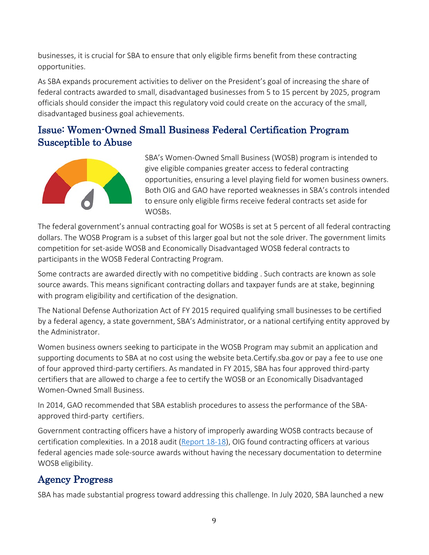businesses, it is crucial for SBA to ensure that only eligible firms benefit from these contracting opportunities.

As SBA expands procurement activities to deliver on the President's goal of increasing the share of federal contracts awarded to small, disadvantaged businesses from 5 to 15 percent by 2025, program officials should consider the impact this regulatory void could create on the accuracy of the small, disadvantaged business goal achievements.

# <span id="page-18-0"></span>Issue: Women-Owned Small Business Federal Certification Program Susceptible to Abuse



SBA's Women-Owned Small Business (WOSB) program is intended to give eligible companies greater access to federal contracting opportunities, ensuring a level playing field for women business owners. Both OIG and GAO have reported weaknesses in SBA's controls intended to ensure only eligible firms receive federal contracts set aside for WOSBs.

The federal government's annual contracting goal for WOSBs is set at 5 percent of all federal contracting dollars. The WOSB Program is a subset of this larger goal but not the sole driver. The government limits competition for set-aside WOSB and Economically Disadvantaged WOSB federal contracts to participants in the WOSB Federal Contracting Program.

Some contracts are awarded directly with no competitive bidding . Such contracts are known as sole source awards. This means significant contracting dollars and taxpayer funds are at stake, beginning with program eligibility and certification of the designation.

The National Defense Authorization Act of FY 2015 required qualifying small businesses to be certified by a federal agency, a state government, SBA's Administrator, or a national certifying entity approved by the Administrator.

Women business owners seeking to participate in the WOSB Program may submit an application and supporting documents to SBA at no cost using the website beta.Certify.sba.gov or pay a fee to use one of four approved third-party certifiers. As mandated in FY 2015, SBA has four approved third-party certifiers that are allowed to charge a fee to certify the WOSB or an Economically Disadvantaged Women-Owned Small Business.

In 2014, GAO recommended that SBA establish procedures to assess the performance of the SBAapproved third-party certifiers.

Government contracting officers have a history of improperly awarding WOSB contracts because of certification complexities. In a 2018 audit [\(Report 18-18\)](https://www.sba.gov/document/report-18-18-sbas-women-owned-small-business-contracting-program), OIG found contracting officers at various federal agencies made sole-source awards without having the necessary documentation to determine WOSB eligibility.

# <span id="page-18-1"></span>Agency Progress

SBA has made substantial progress toward addressing this challenge. In July 2020, SBA launched a new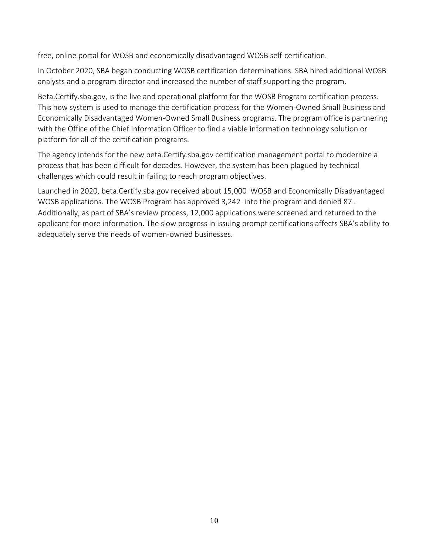free, online portal for WOSB and economically disadvantaged WOSB self-certification.

In October 2020, SBA began conducting WOSB certification determinations. SBA hired additional WOSB analysts and a program director and increased the number of staff supporting the program.

Beta.Certify.sba.gov, is the live and operational platform for the WOSB Program certification process. This new system is used to manage the certification process for the Women-Owned Small Business and Economically Disadvantaged Women-Owned Small Business programs. The program office is partnering with the Office of the Chief Information Officer to find a viable information technology solution or platform for all of the certification programs.

The agency intends for the new beta.Certify.sba.gov certification management portal to modernize a process that has been difficult for decades. However, the system has been plagued by technical challenges which could result in failing to reach program objectives.

Launched in 2020, beta.Certify.sba.gov received about 15,000 WOSB and Economically Disadvantaged WOSB applications. The WOSB Program has approved 3,242 into the program and denied 87 . Additionally, as part of SBA's review process, 12,000 applications were screened and returned to the applicant for more information. The slow progress in issuing prompt certifications affects SBA's ability to adequately serve the needs of women-owned businesses.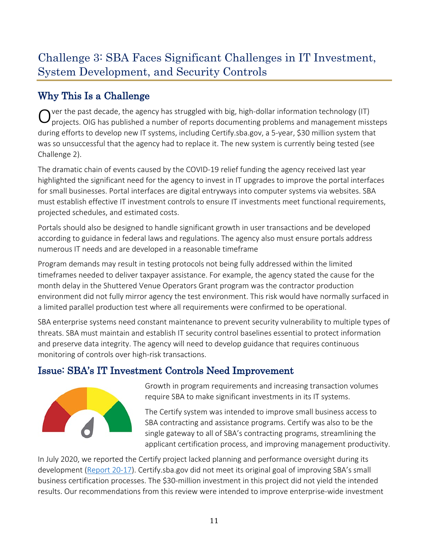# <span id="page-20-0"></span>Challenge 3: SBA Faces Significant Challenges in IT Investment, System Development, and Security Controls

# <span id="page-20-1"></span>Why This Is a Challenge

 $O$  ver the past decade, the agency has struggled with big, high-dollar information technology (IT) projects. OIG has published a number of reports documenting problems and management missteps during efforts to develop new IT systems, including Certify.sba.gov, a 5-year, \$30 million system that was so unsuccessful that the agency had to replace it. The new system is currently being tested (see Challenge 2).

The dramatic chain of events caused by the COVID-19 relief funding the agency received last year highlighted the significant need for the agency to invest in IT upgrades to improve the portal interfaces for small businesses. Portal interfaces are digital entryways into computer systems via websites. SBA must establish effective IT investment controls to ensure IT investments meet functional requirements, projected schedules, and estimated costs.

Portals should also be designed to handle significant growth in user transactions and be developed according to guidance in federal laws and regulations. The agency also must ensure portals address numerous IT needs and are developed in a reasonable timeframe

Program demands may result in testing protocols not being fully addressed within the limited timeframes needed to deliver taxpayer assistance. For example, the agency stated the cause for the month delay in the Shuttered Venue Operators Grant program was the contractor production environment did not fully mirror agency the test environment. This risk would have normally surfaced in a limited parallel production test where all requirements were confirmed to be operational.

SBA enterprise systems need constant maintenance to prevent security vulnerability to multiple types of threats. SBA must maintain and establish IT security control baselines essential to protect information and preserve data integrity. The agency will need to develop guidance that requires continuous monitoring of controls over high-risk transactions.

# <span id="page-20-2"></span>Issue: SBA's IT Investment Controls Need Improvement



Growth in program requirements and increasing transaction volumes require SBA to make significant investments in its IT systems.

The Certify system was intended to improve small business access to SBA contracting and assistance programs. Certify was also to be the single gateway to all of SBA's contracting programs, streamlining the applicant certification process, and improving management productivity.

In July 2020, we reported the Certify project lacked planning and performance oversight during its development [\(Report 20-17\)](https://www.sba.gov/document/report-20-17-evaluation-certifysbagov). Certify.sba.gov did not meet its original goal of improving SBA's small business certification processes. The \$30-million investment in this project did not yield the intended results. Our recommendations from this review were intended to improve enterprise-wide investment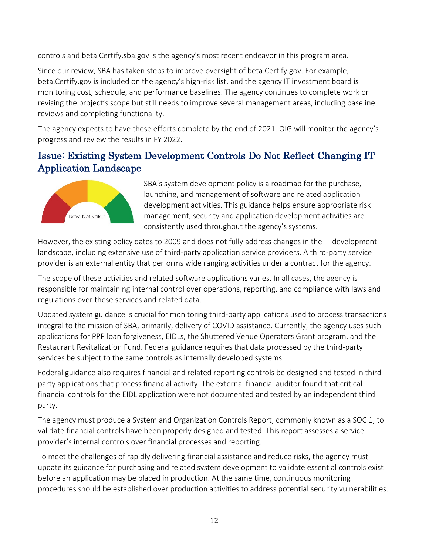controls and beta.Certify.sba.gov is the agency's most recent endeavor in this program area.

Since our review, SBA has taken steps to improve oversight of beta.Certify.gov. For example, beta.Certify.gov is included on the agency's high-risk list, and the agency IT investment board is monitoring cost, schedule, and performance baselines. The agency continues to complete work on revising the project's scope but still needs to improve several management areas, including baseline reviews and completing functionality.

The agency expects to have these efforts complete by the end of 2021. OIG will monitor the agency's progress and review the results in FY 2022.

## <span id="page-21-0"></span>Issue: Existing System Development Controls Do Not Reflect Changing IT Application Landscape



SBA's system development policy is a roadmap for the purchase, launching, and management of software and related application development activities. This guidance helps ensure appropriate risk management, security and application development activities are consistently used throughout the agency's systems.

However, the existing policy dates to 2009 and does not fully address changes in the IT development landscape, including extensive use of third-party application service providers. A third-party service provider is an external entity that performs wide ranging activities under a contract for the agency.

The scope of these activities and related software applications varies. In all cases, the agency is responsible for maintaining internal control over operations, reporting, and compliance with laws and regulations over these services and related data.

Updated system guidance is crucial for monitoring third-party applications used to process transactions integral to the mission of SBA, primarily, delivery of COVID assistance. Currently, the agency uses such applications for PPP loan forgiveness, EIDLs, the Shuttered Venue Operators Grant program, and the Restaurant Revitalization Fund. Federal guidance requires that data processed by the third-party services be subject to the same controls as internally developed systems.

Federal guidance also requires financial and related reporting controls be designed and tested in thirdparty applications that process financial activity. The external financial auditor found that critical financial controls for the EIDL application were not documented and tested by an independent third party.

The agency must produce a System and Organization Controls Report, commonly known as a SOC 1, to validate financial controls have been properly designed and tested. This report assesses a service provider's internal controls over financial processes and reporting.

To meet the challenges of rapidly delivering financial assistance and reduce risks, the agency must update its guidance for purchasing and related system development to validate essential controls exist before an application may be placed in production. At the same time, continuous monitoring procedures should be established over production activities to address potential security vulnerabilities.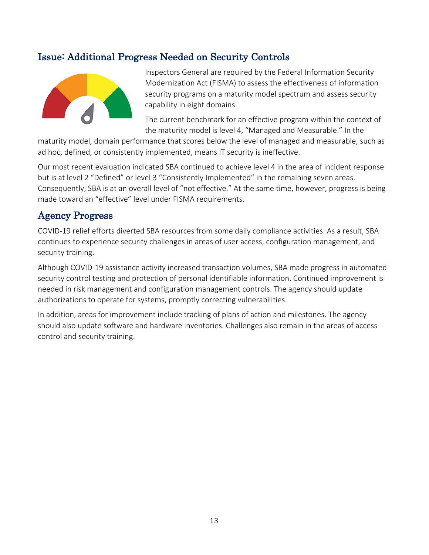## <span id="page-22-0"></span>Issue: Additional Progress Needed on Security Controls



Inspectors General are required by the Federal Information Security Modernization Act (FISMA) to assess the effectiveness of information security programs on a maturity model spectrum and assess security capability in eight domains.

The current benchmark for an effective program within the context of the maturity model is level 4, "Managed and Measurable." In the

maturity model, domain performance that scores below the level of managed and measurable, such as ad hoc, defined, or consistently implemented, means IT security is ineffective.

Our most recent evaluation indicated SBA continued to achieve level 4 in the area of incident response but is at level 2 "Defined" or level 3 "Consistently Implemented" in the remaining seven areas. Consequently, SBA is at an overall level of "not effective." At the same time, however, progress is being made toward an "effective" level under FISMA requirements.

### <span id="page-22-1"></span>Agency Progress

COVID-19 relief efforts diverted SBA resources from some daily compliance activities. As a result, SBA continues to experience security challenges in areas of user access, configuration management, and security training.

Although COVID-19 assistance activity increased transaction volumes, SBA made progress in automated security control testing and protection of personal identifiable information. Continued improvement is needed in risk management and configuration management controls. The agency should update authorizations to operate for systems, promptly correcting vulnerabilities.

In addition, areas for improvement include tracking of plans of action and milestones. The agency should also update software and hardware inventories. Challenges also remain in the areas of access control and security training.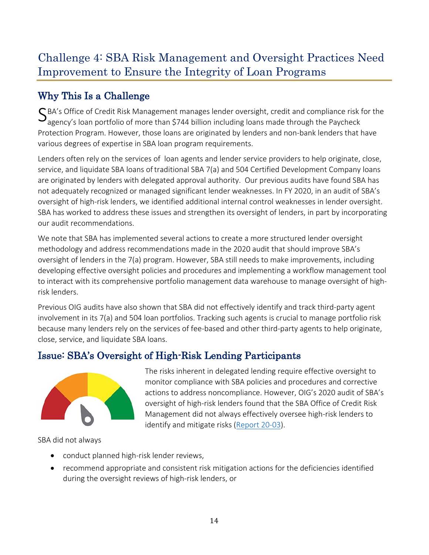# <span id="page-23-0"></span>Challenge 4: SBA Risk Management and Oversight Practices Need Improvement to Ensure the Integrity of Loan Programs

# <span id="page-23-1"></span>Why This Is a Challenge

SBA's Office of Credit Risk Management manages lender oversight, credit and compliance risk for the<br>agency's loan portfolio of more than \$744 billion including loans made through the Paycheck Protection Program. However, those loans are originated by lenders and non-bank lenders that have various degrees of expertise in SBA loan program requirements.

Lenders often rely on the services of loan agents and lender service providers to help originate, close, service, and liquidate SBA loans oftraditional SBA 7(a) and 504 Certified Development Company loans are originated by lenders with delegated approval authority. Our previous audits have found SBA has not adequately recognized or managed significant lender weaknesses. In FY 2020, in an audit of SBA's oversight of high-risk lenders, we identified additional internal control weaknesses in lender oversight. SBA has worked to address these issues and strengthen its oversight of lenders, in part by incorporating our audit recommendations.

We note that SBA has implemented several actions to create a more structured lender oversight methodology and address recommendations made in the 2020 audit that should improve SBA's oversight of lenders in the 7(a) program. However, SBA still needs to make improvements, including developing effective oversight policies and procedures and implementing a workflow management tool to interact with its comprehensive portfolio management data warehouse to manage oversight of highrisk lenders.

Previous OIG audits have also shown that SBA did not effectively identify and track third-party agent involvement in its 7(a) and 504 loan portfolios. Tracking such agents is crucial to manage portfolio risk because many lenders rely on the services of fee-based and other third-party agents to help originate, close, service, and liquidate SBA loans.

# <span id="page-23-2"></span>Issue: SBA's Oversight of High-Risk Lending Participants



The risks inherent in delegated lending require effective oversight to monitor compliance with SBA policies and procedures and corrective actions to address noncompliance. However, OIG's 2020 audit of SBA's oversight of high-risk lenders found that the SBA Office of Credit Risk Management did not always effectively oversee high-risk lenders to identify and mitigate risks [\(Report 20-03\)](https://www.sba.gov/document/report-20-03-audit-sbas-oversight-high-risk-lenders).

SBA did not always

- conduct planned high-risk lender reviews,
- recommend appropriate and consistent risk mitigation actions for the deficiencies identified during the oversight reviews of high-risk lenders, or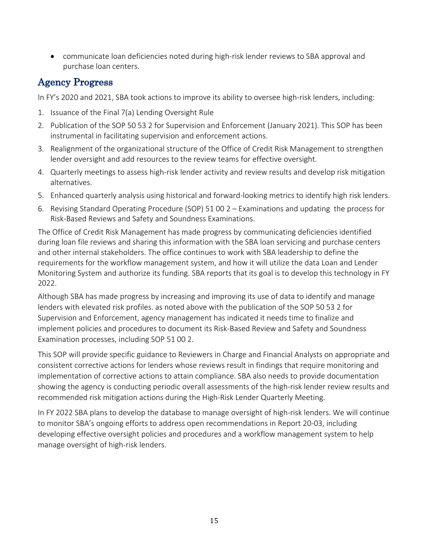• communicate loan deficiencies noted during high-risk lender reviews to SBA approval and purchase loan centers.

## <span id="page-24-0"></span>Agency Progress

In FY's 2020 and 2021, SBA took actions to improve its ability to oversee high-risk lenders, including:

- 1. Issuance of the Final 7(a) Lending Oversight Rule
- 2. Publication of the SOP 50 53 2 for Supervision and Enforcement (January 2021). This SOP has been instrumental in facilitating supervision and enforcement actions.
- 3. Realignment of the organizational structure of the Office of Credit Risk Management to strengthen lender oversight and add resources to the review teams for effective oversight.
- 4. Quarterly meetings to assess high-risk lender activity and review results and develop risk mitigation alternatives.
- 5. Enhanced quarterly analysis using historical and forward-looking metrics to identify high risk lenders.
- 6. Revising Standard Operating Procedure (SOP) 51 00 2 Examinations and updating the process for Risk-Based Reviews and Safety and Soundness Examinations.

The Office of Credit Risk Management has made progress by communicating deficiencies identified during loan file reviews and sharing this information with the SBA loan servicing and purchase centers and other internal stakeholders. The office continues to work with SBA leadership to define the requirements for the workflow management system, and how it will utilize the data Loan and Lender Monitoring System and authorize its funding. SBA reports that its goal is to develop this technology in FY 2022.

Although SBA has made progress by increasing and improving its use of data to identify and manage lenders with elevated risk profiles. as noted above with the publication of the SOP 50 53 2 for Supervision and Enforcement, agency management has indicated it needs time to finalize and implement policies and procedures to document its Risk-Based Review and Safety and Soundness Examination processes, including SOP 51 00 2.

This SOP will provide specific guidance to Reviewers in Charge and Financial Analysts on appropriate and consistent corrective actions for lenders whose reviews result in findings that require monitoring and implementation of corrective actions to attain compliance. SBA also needs to provide documentation showing the agency is conducting periodic overall assessments of the high-risk lender review results and recommended risk mitigation actions during the High-Risk Lender Quarterly Meeting.

In FY 2022 SBA plans to develop the database to manage oversight of high-risk lenders. We will continue to monitor SBA's ongoing efforts to address open recommendations in [Report 20-03,](https://www.sba.gov/document/report-20-03-audit-sbas-oversight-high-risk-lenders) including developing effective oversight policies and procedures and a workflow management system to help manage oversight of high-risk lenders.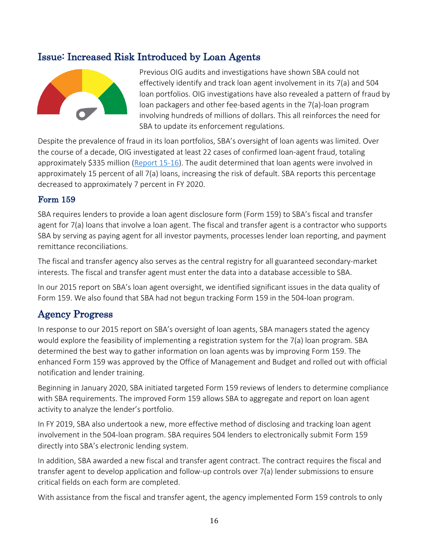## <span id="page-25-0"></span>Issue: Increased Risk Introduced by Loan Agents



Previous OIG audits and investigations have shown SBA could not effectively identify and track loan agent involvement in its 7(a) and 504 loan portfolios. OIG investigations have also revealed a pattern of fraud by loan packagers and other fee-based agents in the 7(a)-loan program involving hundreds of millions of dollars. This all reinforces the need for SBA to update its enforcement regulations.

Despite the prevalence of fraud in its loan portfolios, SBA's oversight of loan agents was limited. Over the course of a decade, OIG investigated at least 22 cases of confirmed loan-agent fraud, totaling approximately \$335 million [\(Report 15-16\)](https://www.sba.gov/document/report-15-16-audit-report-15-16-sba-needs-improve-its-oversight-loan-agents). The audit determined that loan agents were involved in approximately 15 percent of all 7(a) loans, increasing the risk of default. SBA reports this percentage decreased to approximately 7 percent in FY 2020.

#### Form 159

SBA requires lenders to provide a loan agent disclosure form (Form 159) to SBA's fiscal and transfer agent for 7(a) loans that involve a loan agent. The fiscal and transfer agent is a contractor who supports SBA by serving as paying agent for all investor payments, processes lender loan reporting, and payment remittance reconciliations.

The fiscal and transfer agency also serves as the central registry for all guaranteed secondary-market interests. The fiscal and transfer agent must enter the data into a database accessible to SBA.

In our 2015 report on SBA's loan agent oversight, we identified significant issues in the data quality of Form 159. We also found that SBA had not begun tracking Form 159 in the 504-loan program.

### <span id="page-25-1"></span>Agency Progress

In response to our 2015 report on SBA's oversight of loan agents, SBA managers stated the agency would explore the feasibility of implementing a registration system for the 7(a) loan program. SBA determined the best way to gather information on loan agents was by improving Form 159. The enhanced Form 159 was approved by the Office of Management and Budget and rolled out with official notification and lender training.

Beginning in January 2020, SBA initiated targeted Form 159 reviews of lenders to determine compliance with SBA requirements. The improved Form 159 allows SBA to aggregate and report on loan agent activity to analyze the lender's portfolio.

In FY 2019, SBA also undertook a new, more effective method of disclosing and tracking loan agent involvement in the 504-loan program. SBA requires 504 lenders to electronically submit Form 159 directly into SBA's electronic lending system.

In addition, SBA awarded a new fiscal and transfer agent contract. The contract requires the fiscal and transfer agent to develop application and follow-up controls over 7(a) lender submissions to ensure critical fields on each form are completed.

With assistance from the fiscal and transfer agent, the agency implemented Form 159 controls to only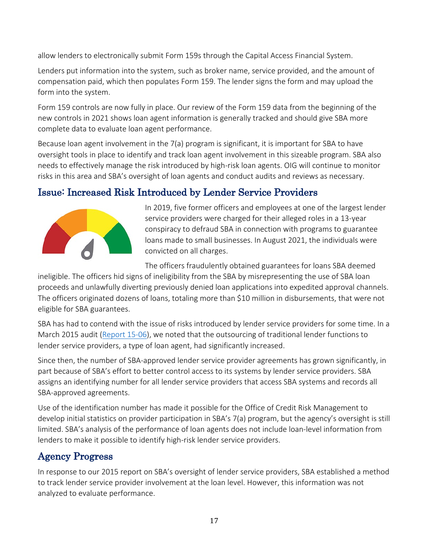allow lenders to electronically submit Form 159s through the Capital Access Financial System.

Lenders put information into the system, such as broker name, service provided, and the amount of compensation paid, which then populates Form 159. The lender signs the form and may upload the form into the system.

Form 159 controls are now fully in place. Our review of the Form 159 data from the beginning of the new controls in 2021 shows loan agent information is generally tracked and should give SBA more complete data to evaluate loan agent performance.

Because loan agent involvement in the 7(a) program is significant, it is important for SBA to have oversight tools in place to identify and track loan agent involvement in this sizeable program. SBA also needs to effectively manage the risk introduced by high-risk loan agents. OIG will continue to monitor risks in this area and SBA's oversight of loan agents and conduct audits and reviews as necessary.

# <span id="page-26-0"></span>Issue: Increased Risk Introduced by Lender Service Providers



In 2019, five former officers and employees at one of the largest lender service providers were charged for their alleged roles in a 13-year conspiracy to defraud SBA in connection with programs to guarantee loans made to small businesses. In August 2021, the individuals were convicted on all charges.

The officers fraudulently obtained guarantees for loans SBA deemed

ineligible. The officers hid signs of ineligibility from the SBA by misrepresenting the use of SBA loan proceeds and unlawfully diverting previously denied loan applications into expedited approval channels. The officers originated dozens of loans, totaling more than \$10 million in disbursements, that were not eligible for SBA guarantees.

SBA has had to contend with the issue of risks introduced by lender service providers for some time. In a March 2015 audit [\(Report 15-06\)](https://www.sba.gov/document/report-15-06-audit-report-15-06-improvement-needed-sbas-oversight-lender-service-providers), we noted that the outsourcing of traditional lender functions to lender service providers, a type of loan agent, had significantly increased.

Since then, the number of SBA-approved lender service provider agreements has grown significantly, in part because of SBA's effort to better control access to its systems by lender service providers. SBA assigns an identifying number for all lender service providers that access SBA systems and records all SBA-approved agreements.

Use of the identification number has made it possible for the Office of Credit Risk Management to develop initial statistics on provider participation in SBA's 7(a) program, but the agency's oversight is still limited. SBA's analysis of the performance of loan agents does not include loan-level information from lenders to make it possible to identify high-risk lender service providers.

### <span id="page-26-1"></span>Agency Progress

In response to our 2015 report on SBA's oversight of lender service providers, SBA established a method to track lender service provider involvement at the loan level. However, this information was not analyzed to evaluate performance.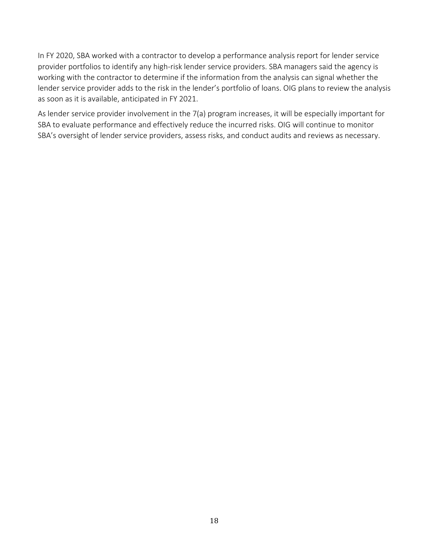In FY 2020, SBA worked with a contractor to develop a performance analysis report for lender service provider portfolios to identify any high-risk lender service providers. SBA managers said the agency is working with the contractor to determine if the information from the analysis can signal whether the lender service provider adds to the risk in the lender's portfolio of loans. OIG plans to review the analysis as soon as it is available, anticipated in FY 2021.

<span id="page-27-0"></span>As lender service provider involvement in the 7(a) program increases, it will be especially important for SBA to evaluate performance and effectively reduce the incurred risks. OIG will continue to monitor SBA's oversight of lender service providers, assess risks, and conduct audits and reviews as necessary.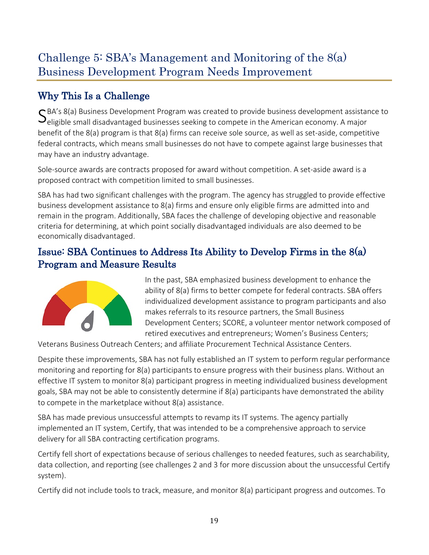# Challenge 5: SBA's Management and Monitoring of the 8(a) Business Development Program Needs Improvement

# <span id="page-28-0"></span>Why This Is a Challenge

SBA's 8(a) Business Development Program was created to provide business development assistance to Seligible small disadvantaged businesses seeking to compete in the American economy. A major benefit of the 8(a) program is that 8(a) firms can receive sole source, as well as set-aside, competitive federal contracts, which means small businesses do not have to compete against large businesses that may have an industry advantage.

Sole-source awards are contracts proposed for award without competition. A set-aside award is a proposed contract with competition limited to small businesses.

SBA has had two significant challenges with the program. The agency has struggled to provide effective business development assistance to 8(a) firms and ensure only eligible firms are admitted into and remain in the program. Additionally, SBA faces the challenge of developing objective and reasonable criteria for determining, at which point socially disadvantaged individuals are also deemed to be economically disadvantaged.

# <span id="page-28-1"></span>Issue: SBA Continues to Address Its Ability to Develop Firms in the 8(a) Program and Measure Results



In the past, SBA emphasized business development to enhance the ability of 8(a) firms to better compete for federal contracts. SBA offers individualized development assistance to program participants and also makes referrals to its resource partners, the Small Business Development Centers; SCORE, a volunteer mentor network composed of retired executives and entrepreneurs; Women's Business Centers;

Veterans Business Outreach Centers; and affiliate Procurement Technical Assistance Centers.

Despite these improvements, SBA has not fully established an IT system to perform regular performance monitoring and reporting for 8(a) participants to ensure progress with their business plans. Without an effective IT system to monitor 8(a) participant progress in meeting individualized business development goals, SBA may not be able to consistently determine if 8(a) participants have demonstrated the ability to compete in the marketplace without 8(a) assistance.

SBA has made previous unsuccessful attempts to revamp its IT systems. The agency partially implemented an IT system, Certify, that was intended to be a comprehensive approach to service delivery for all SBA contracting certification programs.

Certify fell short of expectations because of serious challenges to needed features, such as searchability, data collection, and reporting (see challenges 2 and 3 for more discussion about the unsuccessful Certify system).

Certify did not include tools to track, measure, and monitor 8(a) participant progress and outcomes. To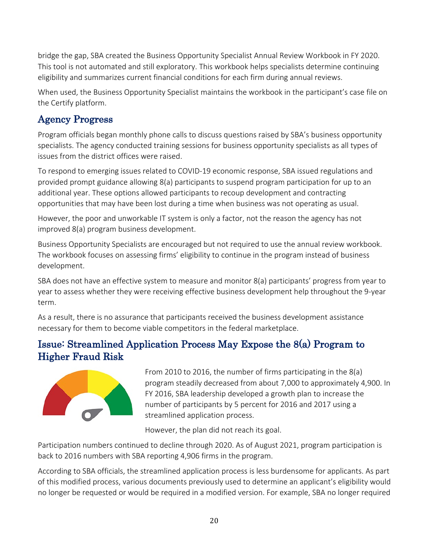bridge the gap, SBA created the Business Opportunity Specialist Annual Review Workbook in FY 2020. This tool is not automated and still exploratory. This workbook helps specialists determine continuing eligibility and summarizes current financial conditions for each firm during annual reviews.

When used, the Business Opportunity Specialist maintains the workbook in the participant's case file on the Certify platform.

# <span id="page-29-0"></span>Agency Progress

Program officials began monthly phone calls to discuss questions raised by SBA's business opportunity specialists. The agency conducted training sessions for business opportunity specialists as all types of issues from the district offices were raised.

To respond to emerging issues related to COVID-19 economic response, SBA issued regulations and provided prompt guidance allowing 8(a) participants to suspend program participation for up to an additional year. These options allowed participants to recoup development and contracting opportunities that may have been lost during a time when business was not operating as usual.

However, the poor and unworkable IT system is only a factor, not the reason the agency has not improved 8(a) program business development.

Business Opportunity Specialists are encouraged but not required to use the annual review workbook. The workbook focuses on assessing firms' eligibility to continue in the program instead of business development.

SBA does not have an effective system to measure and monitor 8(a) participants' progress from year to year to assess whether they were receiving effective business development help throughout the 9-year term.

As a result, there is no assurance that participants received the business development assistance necessary for them to become viable competitors in the federal marketplace.

# <span id="page-29-1"></span>Issue: Streamlined Application Process May Expose the 8(a) Program to Higher Fraud Risk



From 2010 to 2016, the number of firms participating in the 8(a) program steadily decreased from about 7,000 to approximately 4,900. In FY 2016, SBA leadership developed a growth plan to increase the number of participants by 5 percent for 2016 and 2017 using a streamlined application process.

However, the plan did not reach its goal.

Participation numbers continued to decline through 2020. As of August 2021, program participation is back to 2016 numbers with SBA reporting 4,906 firms in the program.

According to SBA officials, the streamlined application process is less burdensome for applicants. As part of this modified process, various documents previously used to determine an applicant's eligibility would no longer be requested or would be required in a modified version. For example, SBA no longer required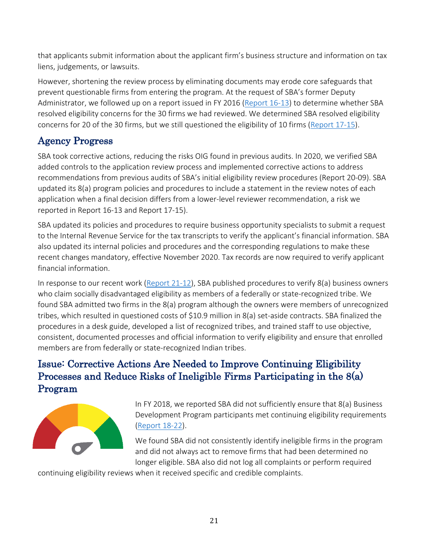that applicants submit information about the applicant firm's business structure and information on tax liens, judgements, or lawsuits.

However, shortening the review process by eliminating documents may erode core safeguards that prevent questionable firms from entering the program. At the request of SBA's former Deputy Administrator, we followed up on a report issued in FY 2016 [\(Report 16-13\)](https://www.sba.gov/document/report-16-13-report-16-13-sbas-8a-business-development-program-eligibility) to determine whether SBA resolved eligibility concerns for the 30 firms we had reviewed. We determined SBA resolved eligibility concerns for 20 of the 30 firms, but we still questioned the eligibility of 10 firms [\(Report 17-15\)](https://www.sba.gov/document/report-17-15-reassessment-eligibility-requirements-30-firms-sbas-8a-business-development-program).

# <span id="page-30-0"></span>Agency Progress

SBA took corrective actions, reducing the risks OIG found in previous audits. In 2020, we verified SBA added controls to the application review process and implemented corrective actions to address recommendations from previous audits of SBA's initial eligibility review procedures (Report 20-09). SBA updated its 8(a) program policies and procedures to include a statement in the review notes of each application when a final decision differs from a lower-level reviewer recommendation, a risk we reported in Report 16-13 and Report 17-15).

SBA updated its policies and procedures to require business opportunity specialists to submit a request to the Internal Revenue Service for the tax transcripts to verify the applicant's financial information. SBA also updated its internal policies and procedures and the corresponding regulations to make these recent changes mandatory, effective November 2020. Tax records are now required to verify applicant financial information.

In response to our recent work [\(Report 21-12\)](https://www.sba.gov/document/report-21-12-evaluation-sbas-eligibility-verification-8a-firms-owned-members-federally-or-state-recognized-indian), SBA published procedures to verify 8(a) business owners who claim socially disadvantaged eligibility as members of a federally or state-recognized tribe. We found SBA admitted two firms in the 8(a) program although the owners were members of unrecognized tribes, which resulted in questioned costs of \$10.9 million in 8(a) set-aside contracts. SBA finalized the procedures in a desk guide, developed a list of recognized tribes, and trained staff to use objective, consistent, documented processes and official information to verify eligibility and ensure that enrolled members are from federally or state-recognized Indian tribes.

# <span id="page-30-1"></span>Issue: Corrective Actions Are Needed to Improve Continuing Eligibility Processes and Reduce Risks of Ineligible Firms Participating in the 8(a) Program



In FY 2018, we reported SBA did not sufficiently ensure that 8(a) Business Development Program participants met continuing eligibility requirements [\(Report 18-22\)](https://www.sba.gov/document/report-18-22-improvements-needed-sbas-oversight-8a-continuing-eligibility-processes).

We found SBA did not consistently identify ineligible firms in the program and did not always act to remove firms that had been determined no longer eligible. SBA also did not log all complaints or perform required

continuing eligibility reviews when it received specific and credible complaints.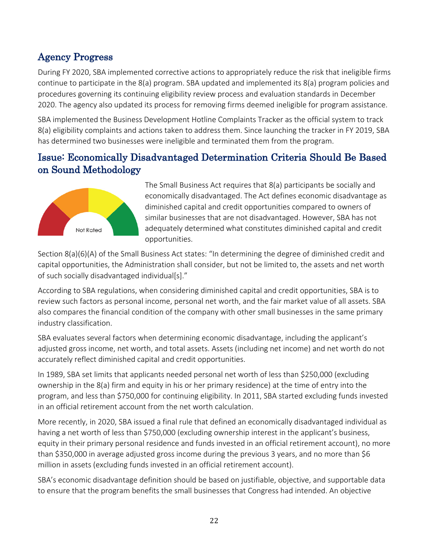# <span id="page-31-0"></span>Agency Progress

During FY 2020, SBA implemented corrective actions to appropriately reduce the risk that ineligible firms continue to participate in the 8(a) program. SBA updated and implemented its 8(a) program policies and procedures governing its continuing eligibility review process and evaluation standards in December 2020. The agency also updated its process for removing firms deemed ineligible for program assistance.

SBA implemented the Business Development Hotline Complaints Tracker as the official system to track 8(a) eligibility complaints and actions taken to address them. Since launching the tracker in FY 2019, SBA has determined two businesses were ineligible and terminated them from the program.

### <span id="page-31-1"></span>Issue: Economically Disadvantaged Determination Criteria Should Be Based on Sound Methodology



The Small Business Act requires that 8(a) participants be socially and economically disadvantaged. The Act defines economic disadvantage as diminished capital and credit opportunities compared to owners of similar businesses that are not disadvantaged. However, SBA has not adequately determined what constitutes diminished capital and credit opportunities.

Section 8(a)(6)(A) of the Small Business Act states: "In determining the degree of diminished credit and capital opportunities, the Administration shall consider, but not be limited to, the assets and net worth of such socially disadvantaged individual[s]."

According to SBA regulations, when considering diminished capital and credit opportunities, SBA is to review such factors as personal income, personal net worth, and the fair market value of all assets. SBA also compares the financial condition of the company with other small businesses in the same primary industry classification.

SBA evaluates several factors when determining economic disadvantage, including the applicant's adjusted gross income, net worth, and total assets. Assets (including net income) and net worth do not accurately reflect diminished capital and credit opportunities.

In 1989, SBA set limits that applicants needed personal net worth of less than \$250,000 (excluding ownership in the 8(a) firm and equity in his or her primary residence) at the time of entry into the program, and less than \$750,000 for continuing eligibility. In 2011, SBA started excluding funds invested in an official retirement account from the net worth calculation.

More recently, in 2020, SBA issued a final rule that defined an economically disadvantaged individual as having a net worth of less than \$750,000 (excluding ownership interest in the applicant's business, equity in their primary personal residence and funds invested in an official retirement account), no more than \$350,000 in average adjusted gross income during the previous 3 years, and no more than \$6 million in assets (excluding funds invested in an official retirement account).

SBA's economic disadvantage definition should be based on justifiable, objective, and supportable data to ensure that the program benefits the small businesses that Congress had intended. An objective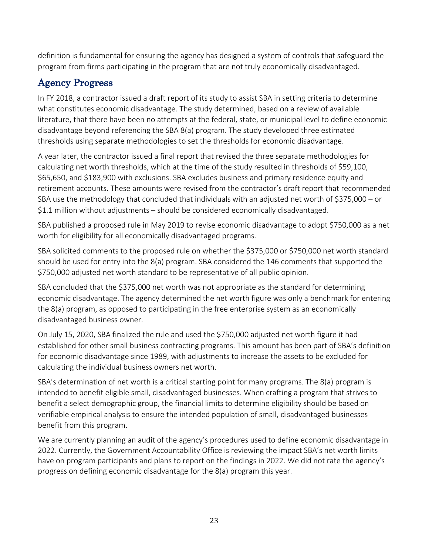definition is fundamental for ensuring the agency has designed a system of controls that safeguard the program from firms participating in the program that are not truly economically disadvantaged.

# <span id="page-32-0"></span>Agency Progress

In FY 2018, a contractor issued a draft report of its study to assist SBA in setting criteria to determine what constitutes economic disadvantage. The study determined, based on a review of available literature, that there have been no attempts at the federal, state, or municipal level to define economic disadvantage beyond referencing the SBA 8(a) program. The study developed three estimated thresholds using separate methodologies to set the thresholds for economic disadvantage.

A year later, the contractor issued a final report that revised the three separate methodologies for calculating net worth thresholds, which at the time of the study resulted in thresholds of \$59,100, \$65,650, and \$183,900 with exclusions. SBA excludes business and primary residence equity and retirement accounts. These amounts were revised from the contractor's draft report that recommended SBA use the methodology that concluded that individuals with an adjusted net worth of \$375,000 – or \$1.1 million without adjustments – should be considered economically disadvantaged.

SBA published a proposed rule in May 2019 to revise economic disadvantage to adopt \$750,000 as a net worth for eligibility for all economically disadvantaged programs.

SBA solicited comments to the proposed rule on whether the \$375,000 or \$750,000 net worth standard should be used for entry into the 8(a) program. SBA considered the 146 comments that supported the \$750,000 adjusted net worth standard to be representative of all public opinion.

SBA concluded that the \$375,000 net worth was not appropriate as the standard for determining economic disadvantage. The agency determined the net worth figure was only a benchmark for entering the 8(a) program, as opposed to participating in the free enterprise system as an economically disadvantaged business owner.

On July 15, 2020, SBA finalized the rule and used the \$750,000 adjusted net worth figure it had established for other small business contracting programs. This amount has been part of SBA's definition for economic disadvantage since 1989, with adjustments to increase the assets to be excluded for calculating the individual business owners net worth.

SBA's determination of net worth is a critical starting point for many programs. The 8(a) program is intended to benefit eligible small, disadvantaged businesses. When crafting a program that strives to benefit a select demographic group, the financial limits to determine eligibility should be based on verifiable empirical analysis to ensure the intended population of small, disadvantaged businesses benefit from this program.

We are currently planning an audit of the agency's procedures used to define economic disadvantage in 2022. Currently, the Government Accountability Office is reviewing the impact SBA's net worth limits have on program participants and plans to report on the findings in 2022. We did not rate the agency's progress on defining economic disadvantage for the 8(a) program this year.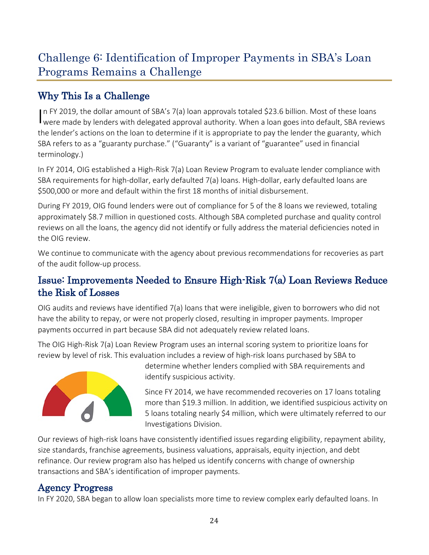# <span id="page-33-0"></span>Challenge 6: Identification of Improper Payments in SBA's Loan Programs Remains a Challenge

# <span id="page-33-1"></span>Why This Is a Challenge

In FY 2019, the dollar amount of SBA's 7(a) loan approvals totaled \$23.6 billion. Most of these loans<br>were made by lenders with delegated approval authority. When a loan goes into default, SBA reviews n FY 2019, the dollar amount of SBA's 7(a) loan approvals totaled \$23.6 billion. Most of these loans the lender's actions on the loan to determine if it is appropriate to pay the lender the guaranty, which SBA refers to as a "guaranty purchase." ("Guaranty" is a variant of "guarantee" used in financial terminology.)

In FY 2014, OIG established a High-Risk 7(a) Loan Review Program to evaluate lender compliance with SBA requirements for high-dollar, early defaulted 7(a) loans. High-dollar, early defaulted loans are \$500,000 or more and default within the first 18 months of initial disbursement.

During FY 2019, OIG found lenders were out of compliance for 5 of the 8 loans we reviewed, totaling approximately \$8.7 million in questioned costs. Although SBA completed purchase and quality control reviews on all the loans, the agency did not identify or fully address the material deficiencies noted in the OIG review.

We continue to communicate with the agency about previous recommendations for recoveries as part of the audit follow-up process.

# <span id="page-33-2"></span>Issue: Improvements Needed to Ensure High-Risk 7(a) Loan Reviews Reduce the Risk of Losses

OIG audits and reviews have identified 7(a) loans that were ineligible, given to borrowers who did not have the ability to repay, or were not properly closed, resulting in improper payments. Improper payments occurred in part because SBA did not adequately review related loans.

The OIG High-Risk 7(a) Loan Review Program uses an internal scoring system to prioritize loans for review by level of risk. This evaluation includes a review of high-risk loans purchased by SBA to



determine whether lenders complied with SBA requirements and identify suspicious activity.

Since FY 2014, we have recommended recoveries on 17 loans totaling more than \$19.3 million. In addition, we identified suspicious activity on 5 loans totaling nearly \$4 million, which were ultimately referred to our Investigations Division.

Our reviews of high-risk loans have consistently identified issues regarding eligibility, repayment ability, size standards, franchise agreements, business valuations, appraisals, equity injection, and debt refinance. Our review program also has helped us identify concerns with change of ownership transactions and SBA's identification of improper payments.

# <span id="page-33-3"></span>Agency Progress

In FY 2020, SBA began to allow loan specialists more time to review complex early defaulted loans. In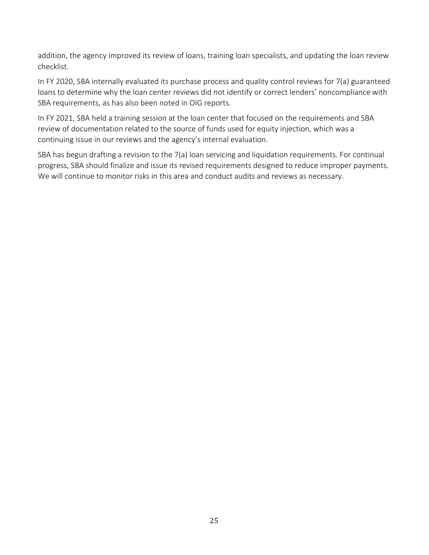addition, the agency improved its review of loans, training loan specialists, and updating the loan review checklist.

In FY 2020, SBA internally evaluated its purchase process and quality control reviews for 7(a) guaranteed loans to determine why the loan center reviews did not identify or correct lenders' noncompliance with SBA requirements, as has also been noted in OIG reports.

In FY 2021, SBA held a training session at the loan center that focused on the requirements and SBA review of documentation related to the source of funds used for equity injection, which was a continuing issue in our reviews and the agency's internal evaluation.

SBA has begun drafting a revision to the 7(a) loan servicing and liquidation requirements. For continual progress, SBA should finalize and issue its revised requirements designed to reduce improper payments. We will continue to monitor risks in this area and conduct audits and reviews as necessary.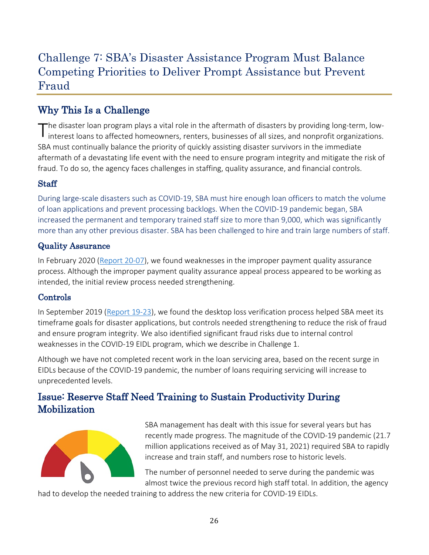# <span id="page-35-0"></span>Challenge 7: SBA's Disaster Assistance Program Must Balance Competing Priorities to Deliver Prompt Assistance but Prevent Fraud

# <span id="page-35-1"></span>Why This Is a Challenge

The disaster loan program plays a vital role in the aftermath of disasters by providing long-term, low-<br>interest loans to affected homeowners, renters, businesses of all sizes, and nonprofit organizations. SBA must continually balance the priority of quickly assisting disaster survivors in the immediate aftermath of a devastating life event with the need to ensure program integrity and mitigate the risk of fraud. To do so, the agency faces challenges in staffing, quality assurance, and financial controls.

#### **Staff**

During large-scale disasters such as COVID-19, SBA must hire enough loan officers to match the volume of loan applications and prevent processing backlogs. When the COVID-19 pandemic began, SBA increased the permanent and temporary trained staff size to more than 9,000, which was significantly more than any other previous disaster. SBA has been challenged to hire and train large numbers of staff.

#### Quality Assurance

In February 2020 [\(Report 20-07\)](https://www.sba.gov/sites/default/files/2020-02/SBA-OIG-Report-20-07.pdf), we found weaknesses in the improper payment quality assurance process. Although the improper payment quality assurance appeal process appeared to be working as intended, the initial review process needed strengthening.

#### Controls

In September 2019 [\(Report 19-23\)](https://www.sba.gov/document/report-19-23-audit-sbas-desktop-loss-verification-process), we found the desktop loss verification process helped SBA meet its timeframe goals for disaster applications, but controls needed strengthening to reduce the risk of fraud and ensure program integrity. We also identified significant fraud risks due to internal control weaknesses in the COVID-19 EIDL program, which we describe in Challenge 1.

Although we have not completed recent work in the loan servicing area, based on the recent surge in EIDLs because of the COVID-19 pandemic, the number of loans requiring servicing will increase to unprecedented levels.

# <span id="page-35-2"></span>Issue: Reserve Staff Need Training to Sustain Productivity During Mobilization



SBA management has dealt with this issue for several years but has recently made progress. The magnitude of the COVID-19 pandemic (21.7 million applications received as of May 31, 2021) required SBA to rapidly increase and train staff, and numbers rose to historic levels.

The number of personnel needed to serve during the pandemic was almost twice the previous record high staff total. In addition, the agency

had to develop the needed training to address the new criteria for COVID-19 EIDLs.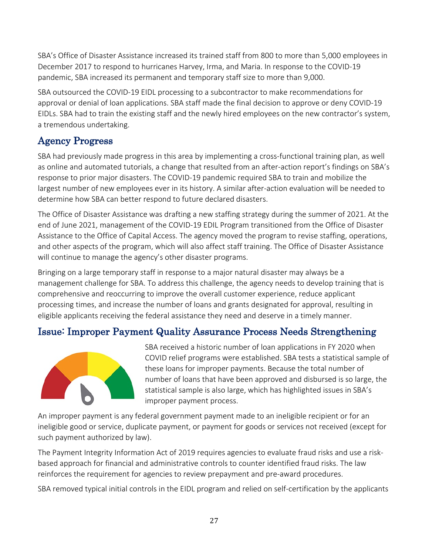SBA's Office of Disaster Assistance increased its trained staff from 800 to more than 5,000 employees in December 2017 to respond to hurricanes Harvey, Irma, and Maria. In response to the COVID-19 pandemic, SBA increased its permanent and temporary staff size to more than 9,000.

SBA outsourced the COVID-19 EIDL processing to a subcontractor to make recommendations for approval or denial of loan applications. SBA staff made the final decision to approve or deny COVID-19 EIDLs. SBA had to train the existing staff and the newly hired employees on the new contractor's system, a tremendous undertaking.

### <span id="page-36-0"></span>Agency Progress

SBA had previously made progress in this area by implementing a cross-functional training plan, as well as online and automated tutorials, a change that resulted from an after-action report's findings on SBA's response to prior major disasters. The COVID-19 pandemic required SBA to train and mobilize the largest number of new employees ever in its history. A similar after-action evaluation will be needed to determine how SBA can better respond to future declared disasters.

The Office of Disaster Assistance was drafting a new staffing strategy during the summer of 2021. At the end of June 2021, management of the COVID-19 EDIL Program transitioned from the Office of Disaster Assistance to the Office of Capital Access. The agency moved the program to revise staffing, operations, and other aspects of the program, which will also affect staff training. The Office of Disaster Assistance will continue to manage the agency's other disaster programs.

Bringing on a large temporary staff in response to a major natural disaster may always be a management challenge for SBA. To address this challenge, the agency needs to develop training that is comprehensive and reoccurring to improve the overall customer experience, reduce applicant processing times, and increase the number of loans and grants designated for approval, resulting in eligible applicants receiving the federal assistance they need and deserve in a timely manner.

# <span id="page-36-1"></span>Issue: Improper Payment Quality Assurance Process Needs Strengthening



SBA received a historic number of loan applications in FY 2020 when COVID relief programs were established. SBA tests a statistical sample of these loans for improper payments. Because the total number of number of loans that have been approved and disbursed is so large, the statistical sample is also large, which has highlighted issues in SBA's improper payment process.

An improper payment is any federal government payment made to an ineligible recipient or for an ineligible good or service, duplicate payment, or payment for goods or services not received (except for such payment authorized by law).

The Payment Integrity Information Act of 2019 requires agencies to evaluate fraud risks and use a riskbased approach for financial and administrative controls to counter identified fraud risks. The law reinforces the requirement for agencies to review prepayment and pre-award procedures.

SBA removed typical initial controls in the EIDL program and relied on self-certification by the applicants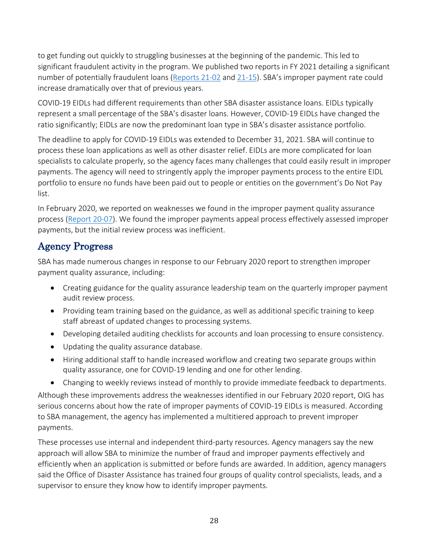to get funding out quickly to struggling businesses at the beginning of the pandemic. This led to significant fraudulent activity in the program. We published two reports in FY 2021 detailing a significant number of potentially fraudulent loans [\(Reports 21-02](https://www.sba.gov/document/report-21-02-inspection-small-business-administrations-initial-disaster-assistance-response-coronavirus-pandemic) and [21-15\)](https://www.sba.gov/document/report-21-15-sbas-handling-identity-theft-covid-19-economic-injury-disaster-loan-program). SBA's improper payment rate could increase dramatically over that of previous years.

COVID-19 EIDLs had different requirements than other SBA disaster assistance loans. EIDLs typically represent a small percentage of the SBA's disaster loans. However, COVID-19 EIDLs have changed the ratio significantly; EIDLs are now the predominant loan type in SBA's disaster assistance portfolio.

The deadline to apply for COVID-19 EIDLs was extended to December 31, 2021. SBA will continue to process these loan applications as well as other disaster relief. EIDLs are more complicated for loan specialists to calculate properly, so the agency faces many challenges that could easily result in improper payments. The agency will need to stringently apply the improper payments process to the entire EIDL portfolio to ensure no funds have been paid out to people or entities on the government's Do Not Pay list.

In February 2020, we reported on weaknesses we found in the improper payment quality assurance process [\(Report 20-07\)](https://www.sba.gov/document/report-20-07-audit-office-disaster-assistance-improper-payment-appeal-process). We found the improper payments appeal process effectively assessed improper payments, but the initial review process was inefficient.

## <span id="page-37-0"></span>Agency Progress

SBA has made numerous changes in response to our February 2020 report to strengthen improper payment quality assurance, including:

- Creating guidance for the quality assurance leadership team on the quarterly improper payment audit review process.
- Providing team training based on the guidance, as well as additional specific training to keep staff abreast of updated changes to processing systems.
- Developing detailed auditing checklists for accounts and loan processing to ensure consistency.
- Updating the quality assurance database.
- Hiring additional staff to handle increased workflow and creating two separate groups within quality assurance, one for COVID-19 lending and one for other lending.
- Changing to weekly reviews instead of monthly to provide immediate feedback to departments.

Although these improvements address the weaknesses identified in our February 2020 report, OIG has serious concerns about how the rate of improper payments of COVID-19 EIDLs is measured. According to SBA management, the agency has implemented a multitiered approach to prevent improper payments.

These processes use internal and independent third-party resources. Agency managers say the new approach will allow SBA to minimize the number of fraud and improper payments effectively and efficiently when an application is submitted or before funds are awarded. In addition, agency managers said the Office of Disaster Assistance has trained four groups of quality control specialists, leads, and a supervisor to ensure they know how to identify improper payments.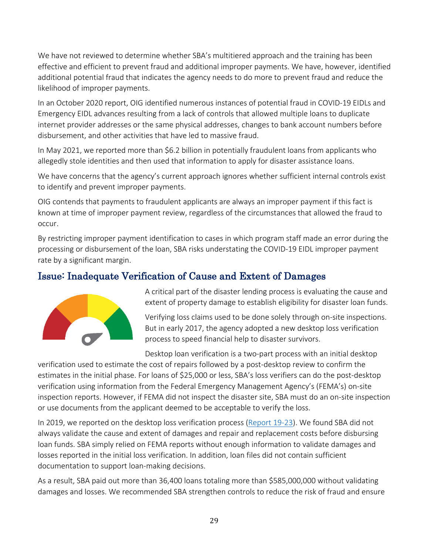We have not reviewed to determine whether SBA's multitiered approach and the training has been effective and efficient to prevent fraud and additional improper payments. We have, however, identified additional potential fraud that indicates the agency needs to do more to prevent fraud and reduce the likelihood of improper payments.

In an October 2020 report, OIG identified numerous instances of potential fraud in COVID-19 EIDLs and Emergency EIDL advances resulting from a lack of controls that allowed multiple loans to duplicate internet provider addresses or the same physical addresses, changes to bank account numbers before disbursement, and other activities that have led to massive fraud.

In May 2021, we reported more than \$6.2 billion in potentially fraudulent loans from applicants who allegedly stole identities and then used that information to apply for disaster assistance loans.

We have concerns that the agency's current approach ignores whether sufficient internal controls exist to identify and prevent improper payments.

OIG contends that payments to fraudulent applicants are always an improper payment if this fact is known at time of improper payment review, regardless of the circumstances that allowed the fraud to occur.

By restricting improper payment identification to cases in which program staff made an error during the processing or disbursement of the loan, SBA risks understating the COVID-19 EIDL improper payment rate by a significant margin.

### <span id="page-38-0"></span>Issue: Inadequate Verification of Cause and Extent of Damages



A critical part of the disaster lending process is evaluating the cause and extent of property damage to establish eligibility for disaster loan funds.

Verifying loss claims used to be done solely through on-site inspections. But in early 2017, the agency adopted a new desktop loss verification process to speed financial help to disaster survivors.

Desktop loan verification is a two-part process with an initial desktop

verification used to estimate the cost of repairs followed by a post-desktop review to confirm the estimates in the initial phase. For loans of \$25,000 or less, SBA's loss verifiers can do the post-desktop verification using information from the Federal Emergency Management Agency's (FEMA's) on-site inspection reports. However, if FEMA did not inspect the disaster site, SBA must do an on-site inspection or use documents from the applicant deemed to be acceptable to verify the loss.

In 2019, we reported on the desktop loss verification process [\(Report 19-23\)](https://www.sba.gov/document/report-19-23-audit-sbas-desktop-loss-verification-process). We found SBA did not always validate the cause and extent of damages and repair and replacement costs before disbursing loan funds. SBA simply relied on FEMA reports without enough information to validate damages and losses reported in the initial loss verification. In addition, loan files did not contain sufficient documentation to support loan-making decisions.

As a result, SBA paid out more than 36,400 loans totaling more than \$585,000,000 without validating damages and losses. We recommended SBA strengthen controls to reduce the risk of fraud and ensure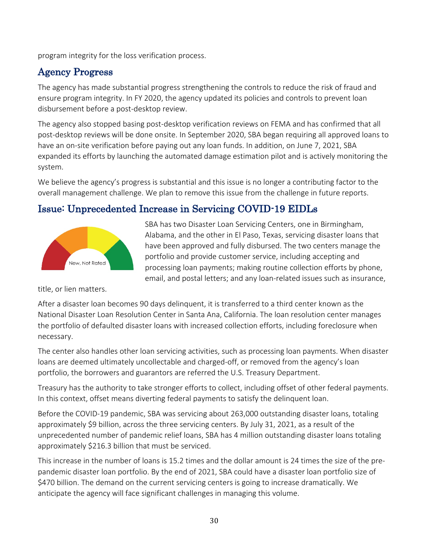program integrity for the loss verification process.

## <span id="page-39-0"></span>Agency Progress

The agency has made substantial progress strengthening the controls to reduce the risk of fraud and ensure program integrity. In FY 2020, the agency updated its policies and controls to prevent loan disbursement before a post-desktop review.

The agency also stopped basing post-desktop verification reviews on FEMA and has confirmed that all post-desktop reviews will be done onsite. In September 2020, SBA began requiring all approved loans to have an on-site verification before paying out any loan funds. In addition, on June 7, 2021, SBA expanded its efforts by launching the automated damage estimation pilot and is actively monitoring the system.

We believe the agency's progress is substantial and this issue is no longer a contributing factor to the overall management challenge. We plan to remove this issue from the challenge in future reports.

# <span id="page-39-1"></span>Issue: Unprecedented Increase in Servicing COVID-19 EIDLs



SBA has two Disaster Loan Servicing Centers, one in Birmingham, Alabama, and the other in El Paso, Texas, servicing disaster loans that have been approved and fully disbursed. The two centers manage the portfolio and provide customer service, including accepting and processing loan payments; making routine collection efforts by phone, email, and postal letters; and any loan-related issues such as insurance,

title, or lien matters.

After a disaster loan becomes 90 days delinquent, it is transferred to a third center known as the National Disaster Loan Resolution Center in Santa Ana, California. The loan resolution center manages the portfolio of defaulted disaster loans with increased collection efforts, including foreclosure when necessary.

The center also handles other loan servicing activities, such as processing loan payments. When disaster loans are deemed ultimately uncollectable and charged-off, or removed from the agency's loan portfolio, the borrowers and guarantors are referred the U.S. Treasury Department.

Treasury has the authority to take stronger efforts to collect, including offset of other federal payments. In this context, offset means diverting federal payments to satisfy the delinquent loan.

Before the COVID-19 pandemic, SBA was servicing about 263,000 outstanding disaster loans, totaling approximately \$9 billion, across the three servicing centers. By July 31, 2021, as a result of the unprecedented number of pandemic relief loans, SBA has 4 million outstanding disaster loans totaling approximately \$216.3 billion that must be serviced.

This increase in the number of loans is 15.2 times and the dollar amount is 24 times the size of the prepandemic disaster loan portfolio. By the end of 2021, SBA could have a disaster loan portfolio size of \$470 billion. The demand on the current servicing centers is going to increase dramatically. We anticipate the agency will face significant challenges in managing this volume.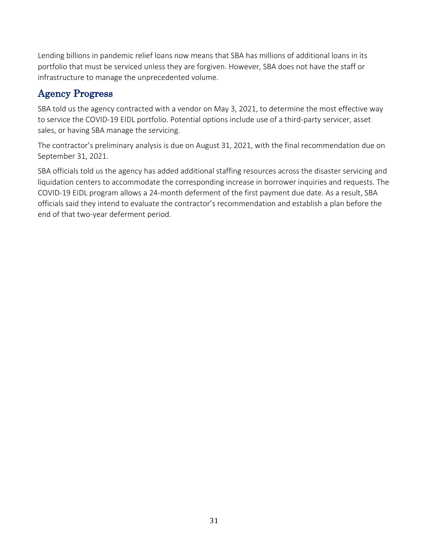Lending billions in pandemic relief loans now means that SBA has millions of additional loans in its portfolio that must be serviced unless they are forgiven. However, SBA does not have the staff or infrastructure to manage the unprecedented volume.

## <span id="page-40-0"></span>Agency Progress

SBA told us the agency contracted with a vendor on May 3, 2021, to determine the most effective way to service the COVID-19 EIDL portfolio. Potential options include use of a third-party servicer, asset sales, or having SBA manage the servicing.

The contractor's preliminary analysis is due on August 31, 2021, with the final recommendation due on September 31, 2021.

SBA officials told us the agency has added additional staffing resources across the disaster servicing and liquidation centers to accommodate the corresponding increase in borrower inquiries and requests. The COVID-19 EIDL program allows a 24-month deferment of the first payment due date. As a result, SBA officials said they intend to evaluate the contractor's recommendation and establish a plan before the end of that two-year deferment period.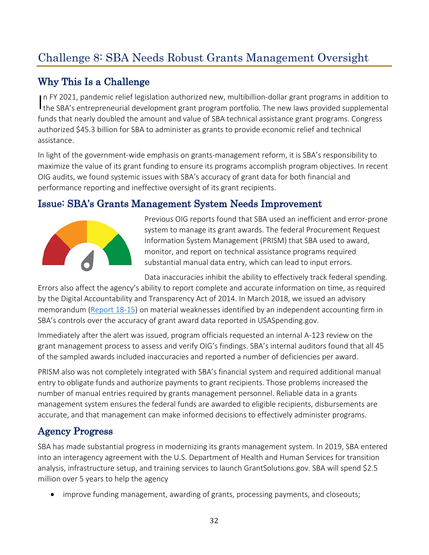# <span id="page-41-0"></span>Challenge 8: SBA Needs Robust Grants Management Oversight

# <span id="page-41-1"></span>Why This Is a Challenge

In FY 2021, pandemic relief legislation authorized new, multibillion-dollar grant programs in addition to the SBA's entrepreneurial development grant program portfolio. The new laws provided supplemental In FY 2021, pandemic relief legislation authorized new, multibillion-dollar grant programs in addition to funds that nearly doubled the amount and value of SBA technical assistance grant programs. Congress authorized \$45.3 billion for SBA to administer as grants to provide economic relief and technical assistance.

In light of the government-wide emphasis on grants-management reform, it is SBA's responsibility to maximize the value of its grant funding to ensure its programs accomplish program objectives. In recent OIG audits, we found systemic issues with SBA's accuracy of grant data for both financial and performance reporting and ineffective oversight of its grant recipients.

## <span id="page-41-2"></span>Issue: SBA's Grants Management System Needs Improvement



Previous OIG reports found that SBA used an inefficient and error-prone system to manage its grant awards. The federal Procurement Request Information System Management (PRISM) that SBA used to award, monitor, and report on technical assistance programs required substantial manual data entry, which can lead to input errors.

Data inaccuracies inhibit the ability to effectively track federal spending. Errors also affect the agency's ability to report complete and accurate information on time, as required by the Digital Accountability and Transparency Act of 2014. In March 2018, we issued an advisory memorandum [\(Report 18-15\)](https://www.sba.gov/document/report-18-15-improvement-needed-accuracy-sba-data-reported-usaspendinggov) on material weaknesses identified by an independent accounting firm in SBA's controls over the accuracy of grant award data reported in USASpending.gov.

Immediately after the alert was issued, program officials requested an internal A-123 review on the grant management process to assess and verify OIG's findings. SBA's internal auditors found that all 45 of the sampled awards included inaccuracies and reported a number of deficiencies per award.

PRISM also was not completely integrated with SBA's financial system and required additional manual entry to obligate funds and authorize payments to grant recipients. Those problems increased the number of manual entries required by grants management personnel. Reliable data in a grants management system ensures the federal funds are awarded to eligible recipients, disbursements are accurate, and that management can make informed decisions to effectively administer programs.

# <span id="page-41-3"></span>Agency Progress

SBA has made substantial progress in modernizing its grants management system. In 2019, SBA entered into an interagency agreement with the U.S. Department of Health and Human Services for transition analysis, infrastructure setup, and training services to launch GrantSolutions.gov. SBA will spend \$2.5 million over 5 years to help the agency

• improve funding management, awarding of grants, processing payments, and closeouts;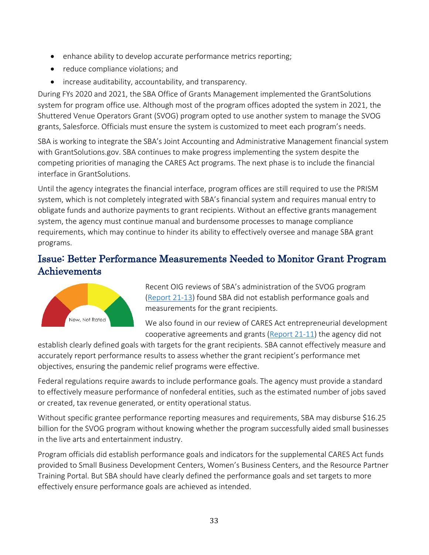- enhance ability to develop accurate performance metrics reporting;
- reduce compliance violations; and
- increase auditability, accountability, and transparency.

During FYs 2020 and 2021, the SBA Office of Grants Management implemented the GrantSolutions system for program office use. Although most of the program offices adopted the system in 2021, the Shuttered Venue Operators Grant (SVOG) program opted to use another system to manage the SVOG grants, Salesforce. Officials must ensure the system is customized to meet each program's needs.

SBA is working to integrate the SBA's Joint Accounting and Administrative Management financial system with GrantSolutions.gov. SBA continues to make progress implementing the system despite the competing priorities of managing the CARES Act programs. The next phase is to include the financial interface in GrantSolutions.

Until the agency integrates the financial interface, program offices are still required to use the PRISM system, which is not completely integrated with SBA's financial system and requires manual entry to obligate funds and authorize payments to grant recipients. Without an effective grants management system, the agency must continue manual and burdensome processes to manage compliance requirements, which may continue to hinder its ability to effectively oversee and manage SBA grant programs.

## <span id="page-42-0"></span>Issue: Better Performance Measurements Needed to Monitor Grant Program Achievements



Recent OIG reviews of SBA's administration of the SVOG program [\(Report 21-13\)](https://www.sba.gov/document/report-21-13-management-alert-serious-concerns-about-sbas-control-environment-tracking-performance-results) found SBA did not establish performance goals and measurements for the grant recipients.

We also found in our review of CARES Act entrepreneurial development cooperative agreements and grants [\(Report 21-11\)](https://www.sba.gov/document/report-21-11-evaluation-sbas-award-procedures-cares-act-entrepreneurial-development-cooperative-agreements) the agency did not

establish clearly defined goals with targets for the grant recipients. SBA cannot effectively measure and accurately report performance results to assess whether the grant recipient's performance met objectives, ensuring the pandemic relief programs were effective.

Federal regulations require awards to include performance goals. The agency must provide a standard to effectively measure performance of nonfederal entities, such as the estimated number of jobs saved or created, tax revenue generated, or entity operational status.

Without specific grantee performance reporting measures and requirements, SBA may disburse \$16.25 billion for the SVOG program without knowing whether the program successfully aided small businesses in the live arts and entertainment industry.

Program officials did establish performance goals and indicators for the supplemental CARES Act funds provided to Small Business Development Centers, Women's Business Centers, and the Resource Partner Training Portal. But SBA should have clearly defined the performance goals and set targets to more effectively ensure performance goals are achieved as intended.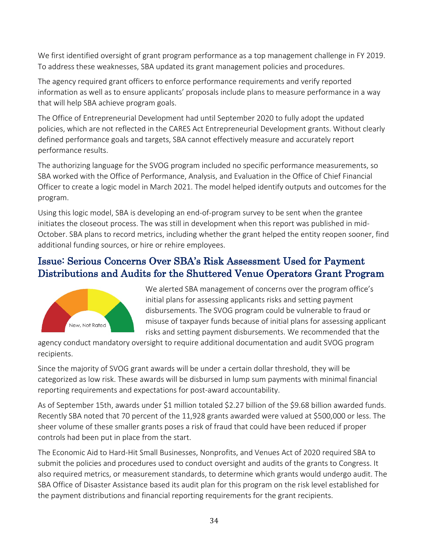We first identified oversight of grant program performance as a top management challenge in FY 2019. To address these weaknesses, SBA updated its grant management policies and procedures.

The agency required grant officers to enforce performance requirements and verify reported information as well as to ensure applicants' proposals include plans to measure performance in a way that will help SBA achieve program goals.

The Office of Entrepreneurial Development had until September 2020 to fully adopt the updated policies, which are not reflected in the CARES Act Entrepreneurial Development grants. Without clearly defined performance goals and targets, SBA cannot effectively measure and accurately report performance results.

The authorizing language for the SVOG program included no specific performance measurements, so SBA worked with the Office of Performance, Analysis, and Evaluation in the Office of Chief Financial Officer to create a logic model in March 2021. The model helped identify outputs and outcomes for the program.

Using this logic model, SBA is developing an end-of-program survey to be sent when the grantee initiates the closeout process. The was still in development when this report was published in mid-October. SBA plans to record metrics, including whether the grant helped the entity reopen sooner, find additional funding sources, or hire or rehire employees.

## <span id="page-43-0"></span>Issue: Serious Concerns Over SBA's Risk Assessment Used for Payment Distributions and Audits for the Shuttered Venue Operators Grant Program



We alerted SBA management of concerns over the program office's initial plans for assessing applicants risks and setting payment disbursements. The SVOG program could be vulnerable to fraud or misuse of taxpayer funds because of initial plans for assessing applicant risks and setting payment disbursements. We recommended that the

agency conduct mandatory oversight to require additional documentation and audit SVOG program recipients.

Since the majority of SVOG grant awards will be under a certain dollar threshold, they will be categorized as low risk. These awards will be disbursed in lump sum payments with minimal financial reporting requirements and expectations for post-award accountability.

As of September 15th, awards under \$1 million totaled \$2.27 billion of the \$9.68 billion awarded funds. Recently SBA noted that 70 percent of the 11,928 grants awarded were valued at \$500,000 or less. The sheer volume of these smaller grants poses a risk of fraud that could have been reduced if proper controls had been put in place from the start.

The Economic Aid to Hard-Hit Small Businesses, Nonprofits, and Venues Act of 2020 required SBA to submit the policies and procedures used to conduct oversight and audits of the grants to Congress. It also required metrics, or measurement standards, to determine which grants would undergo audit. The SBA Office of Disaster Assistance based its audit plan for this program on the risk level established for the payment distributions and financial reporting requirements for the grant recipients.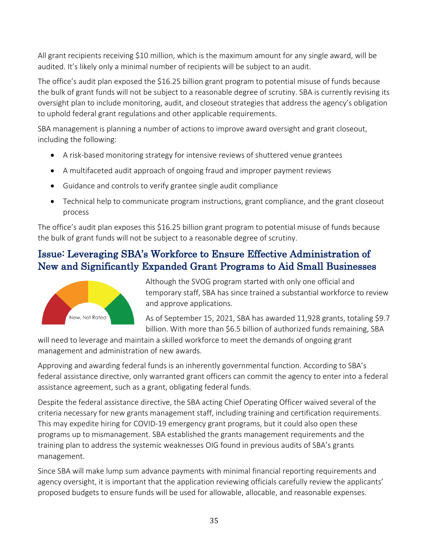All grant recipients receiving \$10 million, which is the maximum amount for any single award, will be audited. It's likely only a minimal number of recipients will be subject to an audit.

The office's audit plan exposed the \$16.25 billion grant program to potential misuse of funds because the bulk of grant funds will not be subject to a reasonable degree of scrutiny. SBA is currently revising its oversight plan to include monitoring, audit, and closeout strategies that address the agency's obligation to uphold federal grant regulations and other applicable requirements.

SBA management is planning a number of actions to improve award oversight and grant closeout, including the following:

- A risk-based monitoring strategy for intensive reviews of shuttered venue grantees
- A multifaceted audit approach of ongoing fraud and improper payment reviews
- Guidance and controls to verify grantee single audit compliance
- Technical help to communicate program instructions, grant compliance, and the grant closeout process

The office's audit plan exposes this \$16.25 billion grant program to potential misuse of funds because the bulk of grant funds will not be subject to a reasonable degree of scrutiny.

# <span id="page-44-0"></span>Issue: Leveraging SBA's Workforce to Ensure Effective Administration of New and Significantly Expanded Grant Programs to Aid Small Businesses



Although the SVOG program started with only one official and temporary staff, SBA has since trained a substantial workforce to revie w and approve applications.

As of September 15, 2021, SBA has awarded 11,928 grants, totaling \$ 9.7 billion. With more than \$6.5 billion of authorized funds remaining, SB A

will need to leverage and maintain a skilled workforce to meet the demands of ongoing grant management and administration of new awards.

Approving and awarding federal funds is an inherently governmental function. According to SBA's federal assistance directive, only warranted grant officers can commit the agency to enter into a feder al assistance agreement, such as a grant, obligating federal funds.

Despite the federal assistance directive, the SBA acting Chief Operating Officer waived several of the criteria necessary for new grants management staff, including training and certification requirements. This may expedite hiring for COVID-19 emergency grant programs, but it could also open these programs up to mismanagement. SBA established the grants management requirements and the training plan to address the systemic weaknesses OIG found in previous audits of SBA's grants management.

Since SBA will make lump sum advance payments with minimal financial reporting requirements and agency oversight, it is important that the application reviewing officials carefully review the applicants' proposed budgets to ensure funds will be used for allowable, allocable, and reasonable expenses.